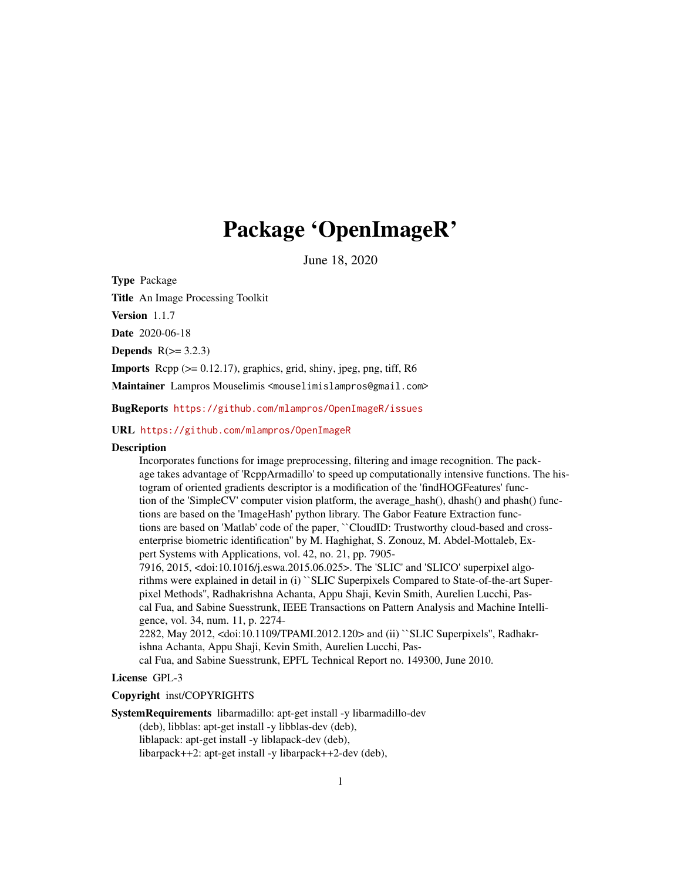# Package 'OpenImageR'

June 18, 2020

Type Package Title An Image Processing Toolkit Version 1.1.7 Date 2020-06-18 **Depends**  $R(>= 3.2.3)$ **Imports** Rcpp  $(>= 0.12.17)$ , graphics, grid, shiny, jpeg, png, tiff, R6 Maintainer Lampros Mouselimis <mouselimislampros@gmail.com>

BugReports <https://github.com/mlampros/OpenImageR/issues>

#### URL <https://github.com/mlampros/OpenImageR>

#### **Description**

Incorporates functions for image preprocessing, filtering and image recognition. The package takes advantage of 'RcppArmadillo' to speed up computationally intensive functions. The histogram of oriented gradients descriptor is a modification of the 'findHOGFeatures' function of the 'SimpleCV' computer vision platform, the average\_hash(), dhash() and phash() functions are based on the 'ImageHash' python library. The Gabor Feature Extraction functions are based on 'Matlab' code of the paper, ``CloudID: Trustworthy cloud-based and crossenterprise biometric identification'' by M. Haghighat, S. Zonouz, M. Abdel-Mottaleb, Expert Systems with Applications, vol. 42, no. 21, pp. 7905-

7916, 2015, <doi:10.1016/j.eswa.2015.06.025>. The 'SLIC' and 'SLICO' superpixel algorithms were explained in detail in (i) ``SLIC Superpixels Compared to State-of-the-art Superpixel Methods'', Radhakrishna Achanta, Appu Shaji, Kevin Smith, Aurelien Lucchi, Pascal Fua, and Sabine Suesstrunk, IEEE Transactions on Pattern Analysis and Machine Intelligence, vol. 34, num. 11, p. 2274-

2282, May 2012, <doi:10.1109/TPAMI.2012.120> and (ii) ``SLIC Superpixels'', Radhakrishna Achanta, Appu Shaji, Kevin Smith, Aurelien Lucchi, Pas-

cal Fua, and Sabine Suesstrunk, EPFL Technical Report no. 149300, June 2010.

## License GPL-3

#### Copyright inst/COPYRIGHTS

SystemRequirements libarmadillo: apt-get install -y libarmadillo-dev

(deb), libblas: apt-get install -y libblas-dev (deb),

liblapack: apt-get install -y liblapack-dev (deb),

libarpack++2: apt-get install -y libarpack++2-dev (deb),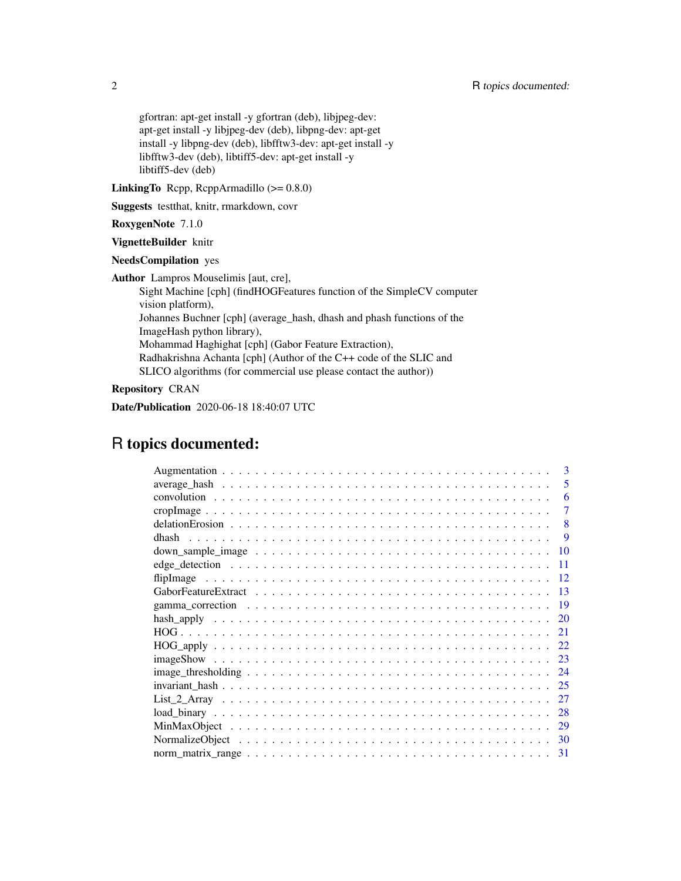gfortran: apt-get install -y gfortran (deb), libjpeg-dev: apt-get install -y libjpeg-dev (deb), libpng-dev: apt-get install -y libpng-dev (deb), libfftw3-dev: apt-get install -y libfftw3-dev (deb), libtiff5-dev: apt-get install -y libtiff5-dev (deb)

LinkingTo Rcpp, RcppArmadillo (>= 0.8.0)

Suggests testthat, knitr, rmarkdown, covr

RoxygenNote 7.1.0

VignetteBuilder knitr

NeedsCompilation yes

Author Lampros Mouselimis [aut, cre],

Sight Machine [cph] (findHOGFeatures function of the SimpleCV computer vision platform), Johannes Buchner [cph] (average\_hash, dhash and phash functions of the ImageHash python library), Mohammad Haghighat [cph] (Gabor Feature Extraction), Radhakrishna Achanta [cph] (Author of the C++ code of the SLIC and SLICO algorithms (for commercial use please contact the author))

Repository CRAN

Date/Publication 2020-06-18 18:40:07 UTC

## R topics documented:

| 3                                                                                                              |
|----------------------------------------------------------------------------------------------------------------|
| 5                                                                                                              |
| 6                                                                                                              |
| 7                                                                                                              |
| 8                                                                                                              |
| -9                                                                                                             |
| 10                                                                                                             |
| 11                                                                                                             |
| 12                                                                                                             |
| 13                                                                                                             |
| 19                                                                                                             |
| 20                                                                                                             |
| 21                                                                                                             |
| $HOG\_apply \ldots \ldots \ldots \ldots \ldots \ldots \ldots \ldots \ldots \ldots \ldots \ldots \ldots$<br>-22 |
| 23                                                                                                             |
| 24                                                                                                             |
| 25                                                                                                             |
| 27                                                                                                             |
| 28                                                                                                             |
| 29                                                                                                             |
|                                                                                                                |
| -31                                                                                                            |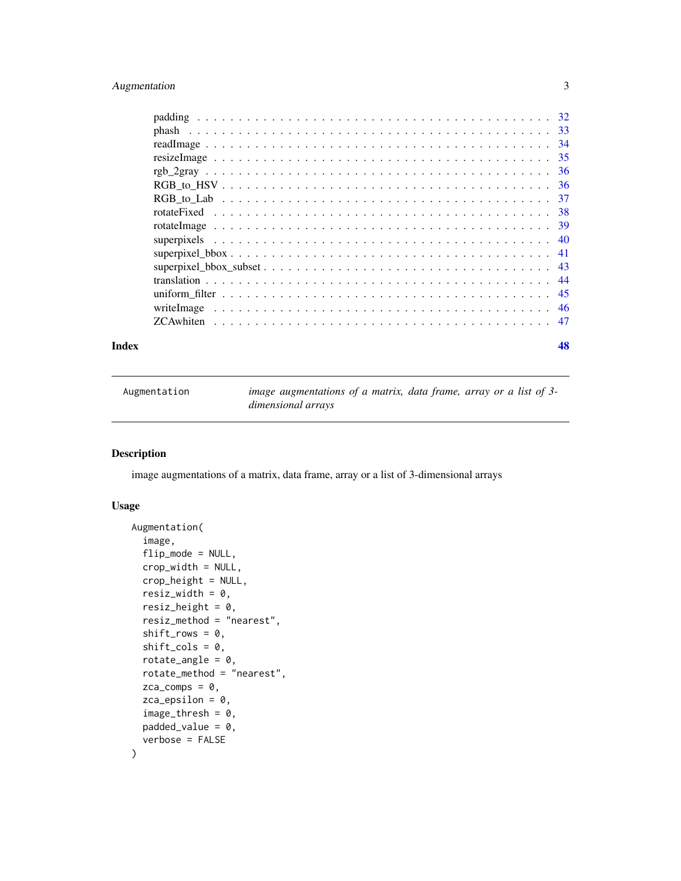## <span id="page-2-0"></span>Augmentation 3

| Index |                                                                                                                                                    | 48 |
|-------|----------------------------------------------------------------------------------------------------------------------------------------------------|----|
|       | <b>ZCA</b> whiten $\ldots$ $\ldots$ $\ldots$ $\ldots$ $\ldots$ $\ldots$ $\ldots$ $\ldots$ $\ldots$ $\ldots$ $\ldots$ $\ldots$ $\ldots$ $\ldots$ 47 |    |
|       |                                                                                                                                                    |    |
|       |                                                                                                                                                    |    |
|       |                                                                                                                                                    |    |
|       |                                                                                                                                                    |    |
|       |                                                                                                                                                    |    |
|       |                                                                                                                                                    |    |
|       |                                                                                                                                                    |    |
|       |                                                                                                                                                    |    |
|       |                                                                                                                                                    |    |
|       |                                                                                                                                                    |    |
|       |                                                                                                                                                    |    |
|       |                                                                                                                                                    |    |
|       |                                                                                                                                                    |    |
|       |                                                                                                                                                    |    |
|       |                                                                                                                                                    |    |

| Augmentation | image augmentations of a matrix, data frame, array or a list of 3- |
|--------------|--------------------------------------------------------------------|
|              | dimensional arrays                                                 |

## Description

image augmentations of a matrix, data frame, array or a list of 3-dimensional arrays

## Usage

```
Augmentation(
  image,
  flip_mode = NULL,
  crop_width = NULL,
  crop_height = NULL,
  resiz_width = 0,
  resiz_height = 0,
  resiz_method = "nearest",
  shift_{rows} = 0,
  shift\_cols = 0,rotate_angle = 0,
  rotate_method = "nearest",
  zca_{comps} = 0,
  zca_epsilon = 0,
  image_{thresh} = 0,
 padded_value = 0,
  verbose = FALSE
\mathcal{E}
```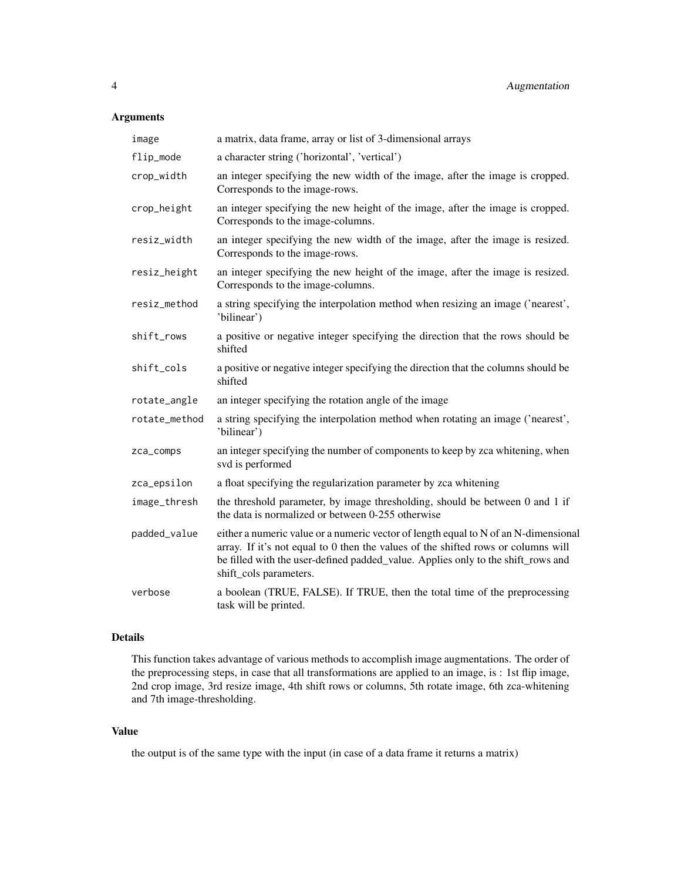## Arguments

| image         | a matrix, data frame, array or list of 3-dimensional arrays                                                                                                                                                                                                                            |
|---------------|----------------------------------------------------------------------------------------------------------------------------------------------------------------------------------------------------------------------------------------------------------------------------------------|
| flip_mode     | a character string ('horizontal', 'vertical')                                                                                                                                                                                                                                          |
| crop_width    | an integer specifying the new width of the image, after the image is cropped.<br>Corresponds to the image-rows.                                                                                                                                                                        |
| crop_height   | an integer specifying the new height of the image, after the image is cropped.<br>Corresponds to the image-columns.                                                                                                                                                                    |
| resiz_width   | an integer specifying the new width of the image, after the image is resized.<br>Corresponds to the image-rows.                                                                                                                                                                        |
| resiz_height  | an integer specifying the new height of the image, after the image is resized.<br>Corresponds to the image-columns.                                                                                                                                                                    |
| resiz_method  | a string specifying the interpolation method when resizing an image ('nearest',<br>'bilinear')                                                                                                                                                                                         |
| shift_rows    | a positive or negative integer specifying the direction that the rows should be<br>shifted                                                                                                                                                                                             |
| shift_cols    | a positive or negative integer specifying the direction that the columns should be<br>shifted                                                                                                                                                                                          |
| rotate_angle  | an integer specifying the rotation angle of the image                                                                                                                                                                                                                                  |
| rotate_method | a string specifying the interpolation method when rotating an image ('nearest',<br>'bilinear')                                                                                                                                                                                         |
| zca_comps     | an integer specifying the number of components to keep by zca whitening, when<br>svd is performed                                                                                                                                                                                      |
| zca_epsilon   | a float specifying the regularization parameter by zca whitening                                                                                                                                                                                                                       |
| image_thresh  | the threshold parameter, by image thresholding, should be between 0 and 1 if<br>the data is normalized or between 0-255 otherwise                                                                                                                                                      |
| padded_value  | either a numeric value or a numeric vector of length equal to N of an N-dimensional<br>array. If it's not equal to 0 then the values of the shifted rows or columns will<br>be filled with the user-defined padded_value. Applies only to the shift_rows and<br>shift_cols parameters. |
| verbose       | a boolean (TRUE, FALSE). If TRUE, then the total time of the preprocessing<br>task will be printed.                                                                                                                                                                                    |

## Details

This function takes advantage of various methods to accomplish image augmentations. The order of the preprocessing steps, in case that all transformations are applied to an image, is : 1st flip image, 2nd crop image, 3rd resize image, 4th shift rows or columns, 5th rotate image, 6th zca-whitening and 7th image-thresholding.

## Value

the output is of the same type with the input (in case of a data frame it returns a matrix)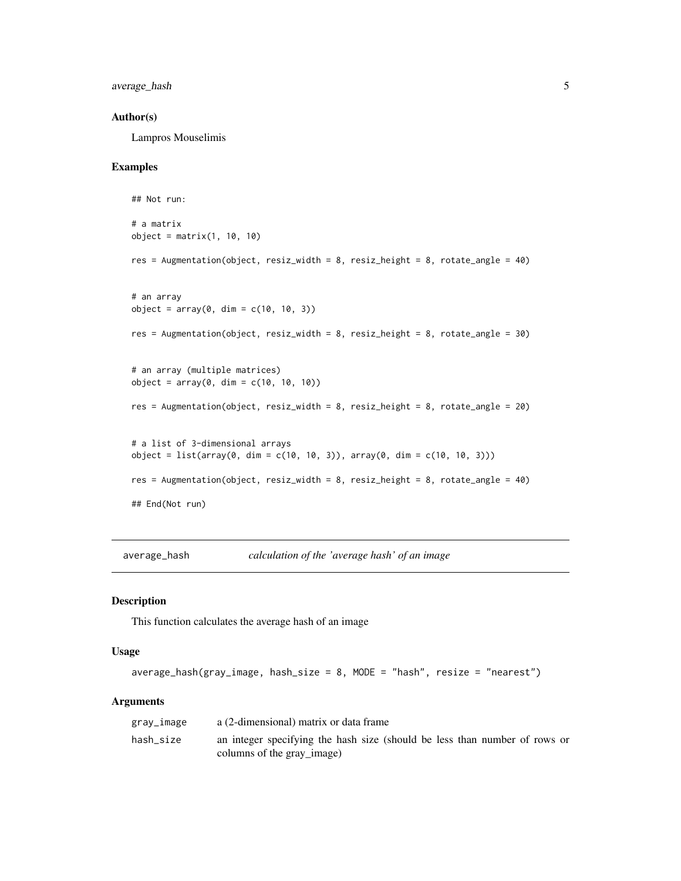<span id="page-4-0"></span>average\_hash 5

#### Author(s)

Lampros Mouselimis

#### Examples

```
## Not run:
# a matrix
object = matrix(1, 10, 10)
res = Augmentation(object, resiz_width = 8, resiz_height = 8, rotate_angle = 40)
# an array
object = array(0, dim = c(10, 10, 3))res = Augmentation(object, resiz_width = 8, resiz_height = 8, rotate_angle = 30)
# an array (multiple matrices)
object = array(0, dim = c(10, 10, 10))res = Augmentation(object, resiz_width = 8, resiz_height = 8, rotate_angle = 20)
# a list of 3-dimensional arrays
object = list(array(0, dim = c(10, 10, 3)), array(0, dim = c(10, 10, 3)))
res = Augmentation(object, resiz_width = 8, resiz_height = 8, rotate_angle = 40)
## End(Not run)
```
average\_hash *calculation of the 'average hash' of an image*

#### Description

This function calculates the average hash of an image

#### Usage

```
average_hash(gray_image, hash_size = 8, MODE = "hash", resize = "nearest")
```

| gray_image | a (2-dimensional) matrix or data frame                                                                   |  |  |
|------------|----------------------------------------------------------------------------------------------------------|--|--|
| hash_size  | an integer specifying the hash size (should be less than number of rows or<br>columns of the gray_image) |  |  |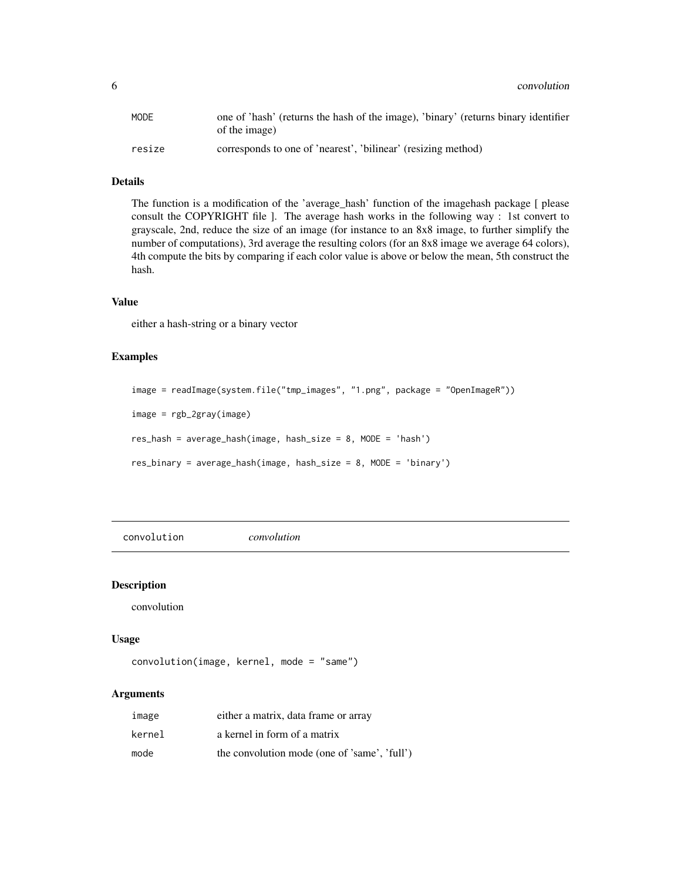<span id="page-5-0"></span>6 convolution

| MODE   | one of 'hash' (returns the hash of the image), 'binary' (returns binary identifier<br>of the image) |
|--------|-----------------------------------------------------------------------------------------------------|
| resize | corresponds to one of 'nearest', 'bilinear' (resizing method)                                       |

#### Details

The function is a modification of the 'average\_hash' function of the imagehash package [ please consult the COPYRIGHT file ]. The average hash works in the following way : 1st convert to grayscale, 2nd, reduce the size of an image (for instance to an 8x8 image, to further simplify the number of computations), 3rd average the resulting colors (for an 8x8 image we average 64 colors), 4th compute the bits by comparing if each color value is above or below the mean, 5th construct the hash.

#### Value

either a hash-string or a binary vector

## Examples

```
image = readImage(system.file("tmp_images", "1.png", package = "OpenImageR"))
image = rgb_2gray(image)
res_hash = average_hash(image, hash_size = 8, MODE = 'hash')
res_binary = average_hash(image, hash_size = 8, MODE = 'binary')
```
convolution *convolution*

#### Description

convolution

#### Usage

```
convolution(image, kernel, mode = "same")
```

| image  | either a matrix, data frame or array         |
|--------|----------------------------------------------|
| kernel | a kernel in form of a matrix                 |
| mode   | the convolution mode (one of 'same', 'full') |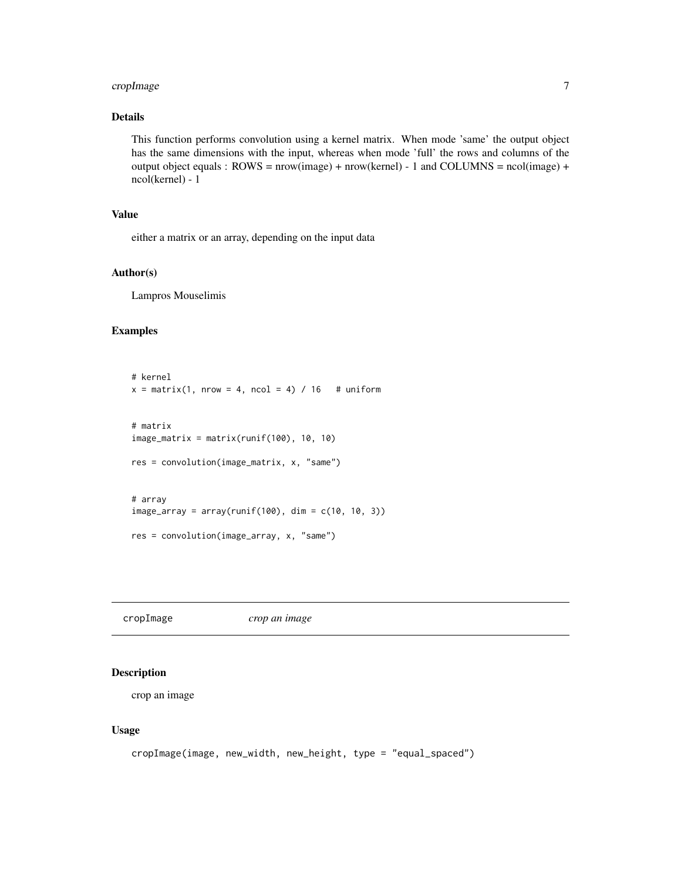## <span id="page-6-0"></span>cropImage 7

## Details

This function performs convolution using a kernel matrix. When mode 'same' the output object has the same dimensions with the input, whereas when mode 'full' the rows and columns of the output object equals :  $ROWS = new (image) + new (kernel) - 1$  and  $COLUMNS = ncol (image) +$ ncol(kernel) - 1

## Value

either a matrix or an array, depending on the input data

#### Author(s)

Lampros Mouselimis

## Examples

```
# kernel
x = matrix(1, nrow = 4, ncol = 4) / 16 # uniform
# matrix
image_matrix = matrix(runif(100), 10, 10)res = convolution(image_matrix, x, "same")
# array
image_array = array(runif(100), dim = c(10, 10, 3))res = convolution(image_array, x, "same")
```
cropImage *crop an image*

#### Description

crop an image

#### Usage

```
cropImage(image, new_width, new_height, type = "equal_spaced")
```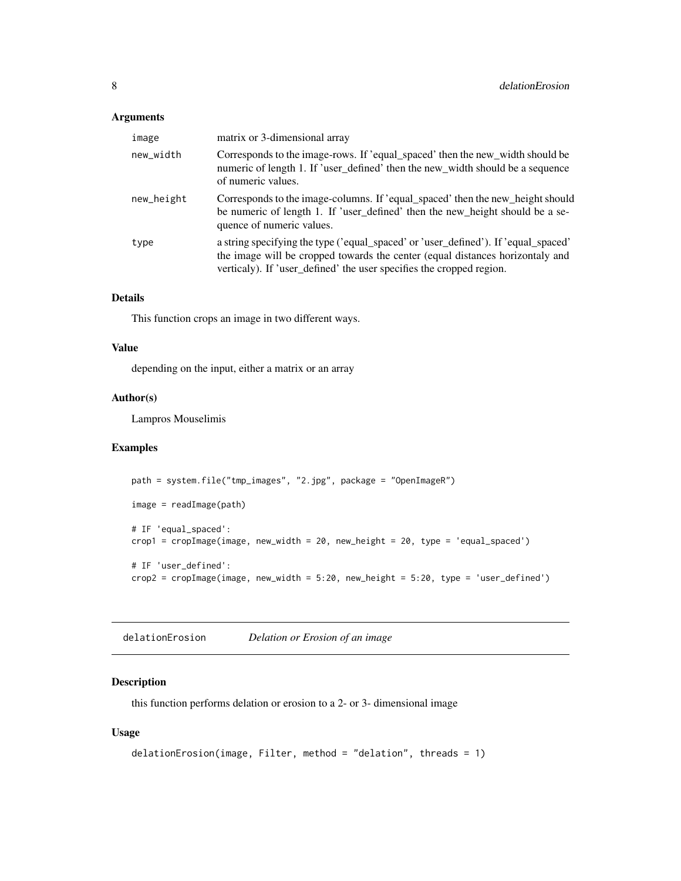## <span id="page-7-0"></span>Arguments

| image      | matrix or 3-dimensional array                                                                                                                                                                                                               |
|------------|---------------------------------------------------------------------------------------------------------------------------------------------------------------------------------------------------------------------------------------------|
| new_width  | Corresponds to the image-rows. If 'equal_spaced' then the new_width should be<br>numeric of length 1. If 'user_defined' then the new_width should be a sequence<br>of numeric values.                                                       |
| new_height | Corresponds to the image-columns. If 'equal_spaced' then the new_height should<br>be numeric of length 1. If 'user_defined' then the new_height should be a se-<br>quence of numeric values.                                                |
| type       | a string specifying the type ('equal_spaced' or 'user_defined'). If 'equal_spaced'<br>the image will be cropped towards the center (equal distances horizontaly and<br>verticaly). If 'user_defined' the user specifies the cropped region. |

## Details

This function crops an image in two different ways.

## Value

depending on the input, either a matrix or an array

## Author(s)

Lampros Mouselimis

## Examples

```
path = system.file("tmp_images", "2.jpg", package = "OpenImageR")
image = readImage(path)
# IF 'equal_spaced':
crop1 = cropImage(image, new_width = 20, new_height = 20, type = 'equal_spaced')
# IF 'user_defined':
\text{crop2} = \text{cropImage}(\text{image}, \text{new\_width} = 5:20, \text{new\_height} = 5:20, \text{type} = \text{'user\_defined'})
```
delationErosion *Delation or Erosion of an image*

## Description

this function performs delation or erosion to a 2- or 3- dimensional image

## Usage

```
delationErosion(image, Filter, method = "delation", threads = 1)
```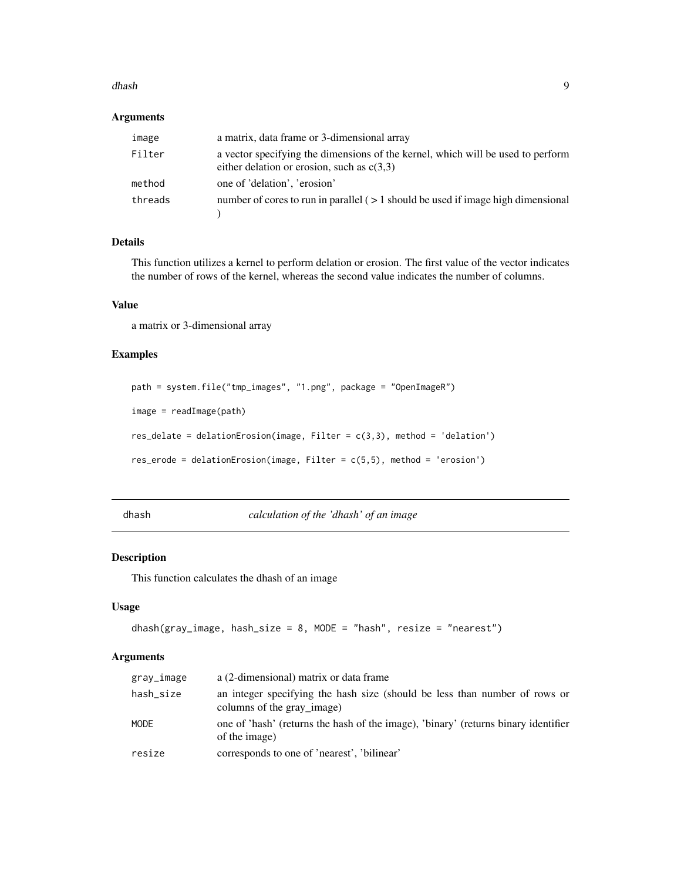#### <span id="page-8-0"></span>dhash 99 anns an t-Iomraidhean anns an t-Iomraidhean an t-Iomraidhean an t-Iomraidhean an t-Iomraidhean an t-Iomraidhean an t-Iomraidhean an t-Iomraidhean an t-Iomraidhean an t-Iomraidhean an t-Iomraidhean an t-Iomraidhean

## Arguments

| image   | a matrix, data frame or 3-dimensional array                                                                                     |
|---------|---------------------------------------------------------------------------------------------------------------------------------|
| Filter  | a vector specifying the dimensions of the kernel, which will be used to perform<br>either delation or erosion, such as $c(3,3)$ |
| method  | one of 'delation', 'erosion'                                                                                                    |
| threads | number of cores to run in parallel $($ > 1 should be used if image high dimensional                                             |

## Details

This function utilizes a kernel to perform delation or erosion. The first value of the vector indicates the number of rows of the kernel, whereas the second value indicates the number of columns.

### Value

a matrix or 3-dimensional array

## Examples

```
path = system.file("tmp_images", "1.png", package = "OpenImageR")
image = readImage(path)
res_delate = delationErosion(image, Filter = c(3,3), method = 'delation')
res_erode = delationErosion(image, Filter = c(5,5), method = 'erosion')
```
dhash *calculation of the 'dhash' of an image*

## Description

This function calculates the dhash of an image

#### Usage

```
dhash(gray_image, hash_size = 8, MODE = "hash", resize = "nearest")
```

| gray_image | a (2-dimensional) matrix or data frame                                                                   |
|------------|----------------------------------------------------------------------------------------------------------|
| hash_size  | an integer specifying the hash size (should be less than number of rows or<br>columns of the gray image) |
| MODE       | one of 'hash' (returns the hash of the image), 'binary' (returns binary identifier<br>of the image)      |
| resize     | corresponds to one of 'nearest', 'bilinear'                                                              |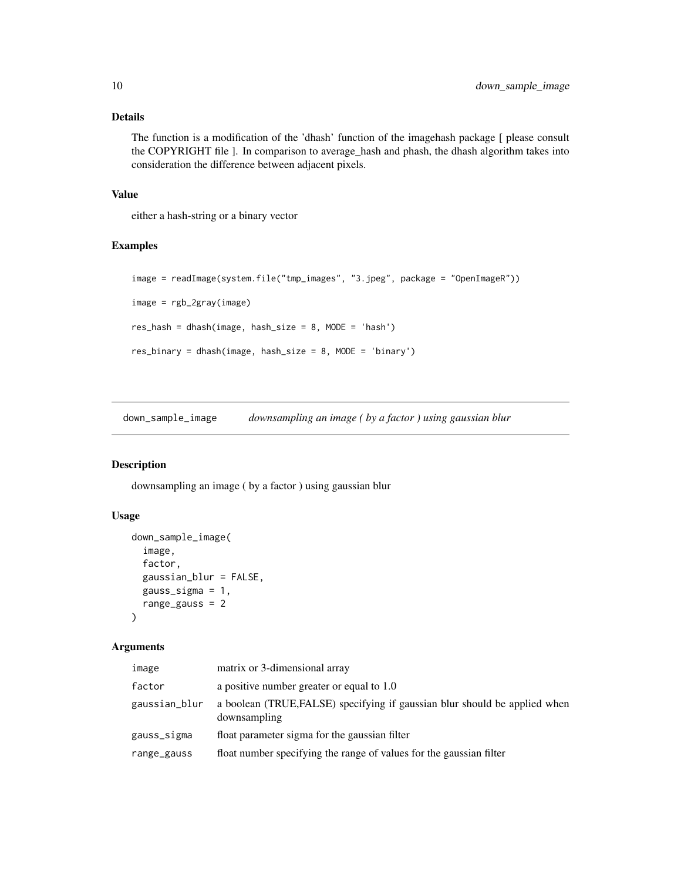### <span id="page-9-0"></span>Details

The function is a modification of the 'dhash' function of the imagehash package [ please consult the COPYRIGHT file ]. In comparison to average\_hash and phash, the dhash algorithm takes into consideration the difference between adjacent pixels.

## Value

either a hash-string or a binary vector

## Examples

```
image = readImage(system.file("tmp_images", "3.jpeg", package = "OpenImageR"))
image = rgb_2gray(image)
res_hash = dhash(image, hash_size = 8, MODE = 'hash')
res_binary = dhash(image, hash_size = 8, MODE = 'binary')
```
down\_sample\_image *downsampling an image ( by a factor ) using gaussian blur*

## Description

downsampling an image ( by a factor ) using gaussian blur

#### Usage

```
down_sample_image(
  image,
  factor,
 gaussian_blur = FALSE,
 gauss_sigma = 1,
 range_gauss = 2
)
```

| image         | matrix or 3-dimensional array                                                              |
|---------------|--------------------------------------------------------------------------------------------|
| factor        | a positive number greater or equal to 1.0                                                  |
| gaussian_blur | a boolean (TRUE, FALSE) specifying if gaussian blur should be applied when<br>downsampling |
| gauss_sigma   | float parameter sigma for the gaussian filter                                              |
| range_gauss   | float number specifying the range of values for the gaussian filter                        |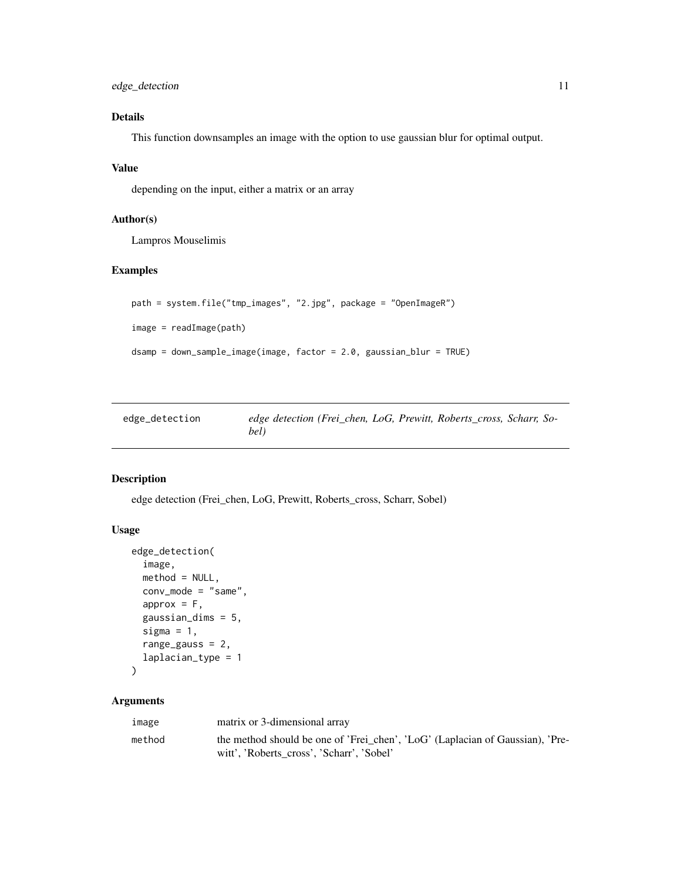<span id="page-10-0"></span>edge\_detection 11

## Details

This function downsamples an image with the option to use gaussian blur for optimal output.

## Value

depending on the input, either a matrix or an array

## Author(s)

Lampros Mouselimis

## Examples

```
path = system.file("tmp_images", "2.jpg", package = "OpenImageR")
image = readImage(path)
dsamp = down_sample_image(image, factor = 2.0, gaussian_blur = TRUE)
```

| edge_detection | edge detection (Frei chen, LoG, Prewitt, Roberts cross, Scharr, So- |  |  |
|----------------|---------------------------------------------------------------------|--|--|
|                | bel)                                                                |  |  |

#### Description

edge detection (Frei\_chen, LoG, Prewitt, Roberts\_cross, Scharr, Sobel)

## Usage

```
edge_detection(
  image,
  method = NULL,conv_mode = "same",
  approx = F,
  gaussian_dims = 5,
  sigma = 1,
  range_gauss = 2,
  laplacian_type = 1
)
```

| image  | matrix or 3-dimensional array                                                                                              |
|--------|----------------------------------------------------------------------------------------------------------------------------|
| method | the method should be one of 'Frei_chen', 'LoG' (Laplacian of Gaussian), 'Pre-<br>witt', 'Roberts cross', 'Scharr', 'Sobel' |
|        |                                                                                                                            |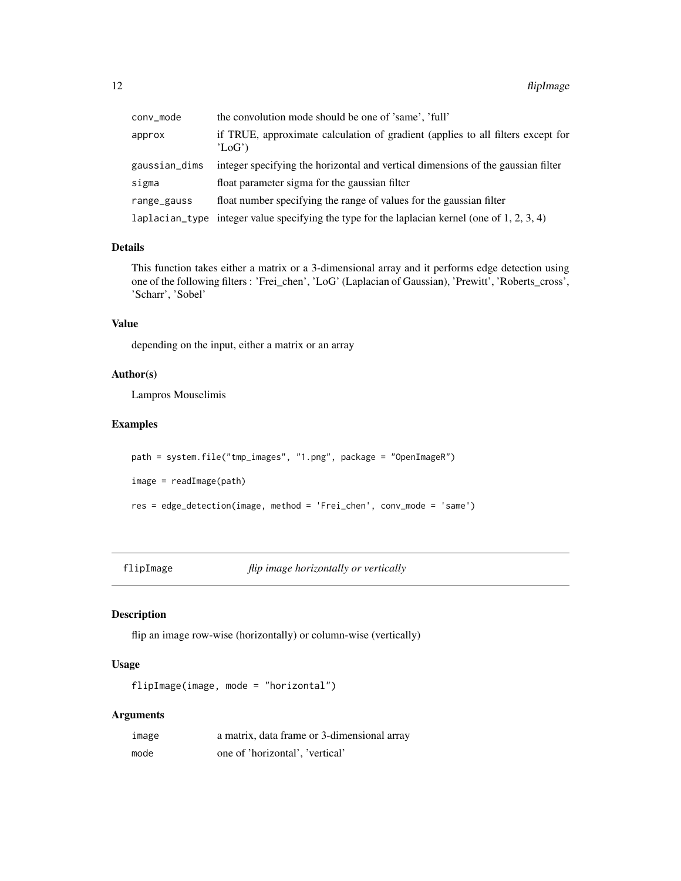<span id="page-11-0"></span>

| conv_mode     | the convolution mode should be one of 'same', 'full'                                          |
|---------------|-----------------------------------------------------------------------------------------------|
| approx        | if TRUE, approximate calculation of gradient (applies to all filters except for<br>$'$ LoG')  |
| gaussian_dims | integer specifying the horizontal and vertical dimensions of the gaussian filter              |
| sigma         | float parameter sigma for the gaussian filter                                                 |
| range_gauss   | float number specifying the range of values for the gaussian filter                           |
|               | laplacian_type integer value specifying the type for the laplacian kernel (one of 1, 2, 3, 4) |

#### Details

This function takes either a matrix or a 3-dimensional array and it performs edge detection using one of the following filters : 'Frei\_chen', 'LoG' (Laplacian of Gaussian), 'Prewitt', 'Roberts\_cross', 'Scharr', 'Sobel'

## Value

depending on the input, either a matrix or an array

## Author(s)

Lampros Mouselimis

## Examples

```
path = system.file("tmp_images", "1.png", package = "OpenImageR")
image = readImage(path)
res = edge_detection(image, method = 'Frei_chen', conv_mode = 'same')
```
flipImage *flip image horizontally or vertically*

## Description

flip an image row-wise (horizontally) or column-wise (vertically)

## Usage

```
flipImage(image, mode = "horizontal")
```

| image | a matrix, data frame or 3-dimensional array |
|-------|---------------------------------------------|
| mode  | one of 'horizontal', 'vertical'             |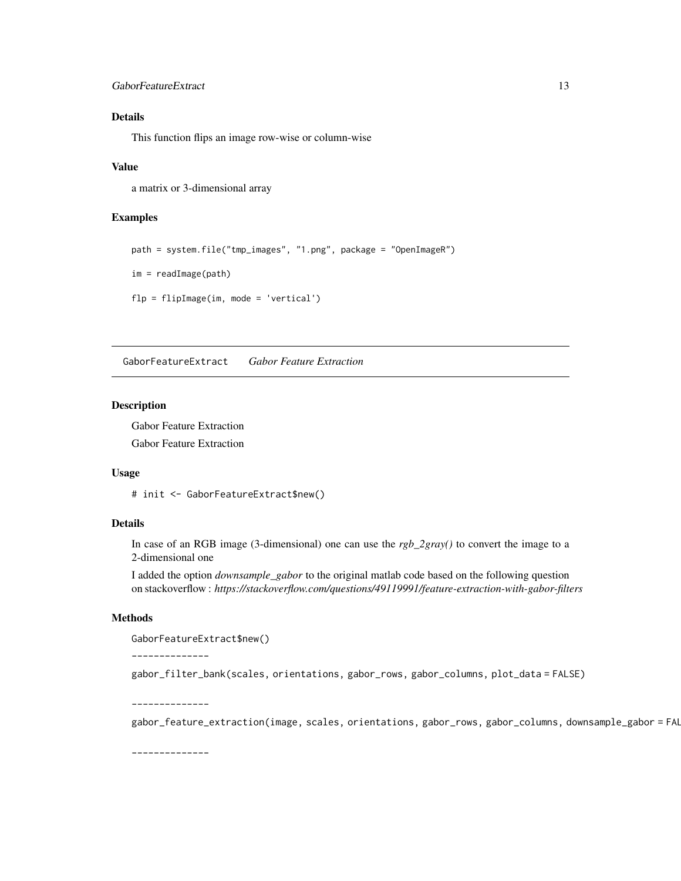## <span id="page-12-0"></span>GaborFeatureExtract 13

## Details

This function flips an image row-wise or column-wise

#### Value

a matrix or 3-dimensional array

#### Examples

```
path = system.file("tmp_images", "1.png", package = "OpenImageR")
im = readImage(path)
flp = flipImage(im, mode = 'vertical')
```
GaborFeatureExtract *Gabor Feature Extraction*

#### Description

Gabor Feature Extraction Gabor Feature Extraction

#### Usage

# init <- GaborFeatureExtract\$new()

## Details

In case of an RGB image (3-dimensional) one can use the *rgb\_2gray()* to convert the image to a 2-dimensional one

I added the option *downsample\_gabor* to the original matlab code based on the following question on stackoverflow : *https://stackoverflow.com/questions/49119991/feature-extraction-with-gabor-filters*

## Methods

GaborFeatureExtract\$new()

--------------

gabor\_filter\_bank(scales, orientations, gabor\_rows, gabor\_columns, plot\_data = FALSE)

--------------

gabor\_feature\_extraction(image, scales, orientations, gabor\_rows, gabor\_columns, downsample\_gabor = FAL

--------------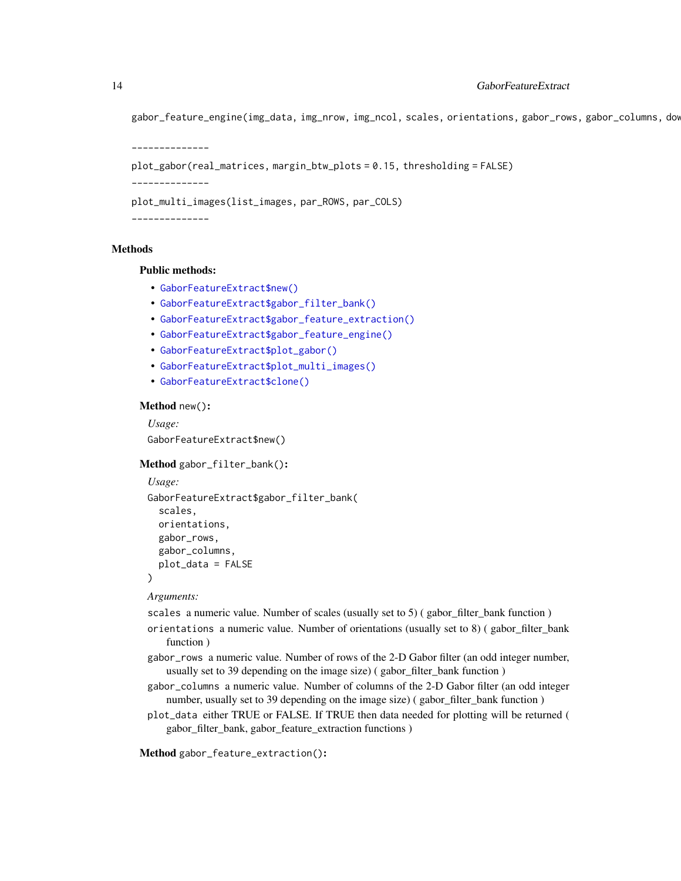gabor\_feature\_engine(img\_data, img\_nrow, img\_ncol, scales, orientations, gabor\_rows, gabor\_columns, dow

```
--------------
plot_gabor(real_matrices, margin_btw_plots = 0.15, thresholding = FALSE)
--------------
plot_multi_images(list_images, par_ROWS, par_COLS)
--------------
```
#### Methods

#### Public methods:

- [GaborFeatureExtract\\$new\(\)](#page-13-0)
- [GaborFeatureExtract\\$gabor\\_filter\\_bank\(\)](#page-13-1)
- [GaborFeatureExtract\\$gabor\\_feature\\_extraction\(\)](#page-13-2)
- [GaborFeatureExtract\\$gabor\\_feature\\_engine\(\)](#page-14-0)
- [GaborFeatureExtract\\$plot\\_gabor\(\)](#page-15-0)
- [GaborFeatureExtract\\$plot\\_multi\\_images\(\)](#page-16-0)
- [GaborFeatureExtract\\$clone\(\)](#page-16-1)

#### <span id="page-13-0"></span>Method new():

*Usage:* GaborFeatureExtract\$new()

#### <span id="page-13-1"></span>Method gabor\_filter\_bank():

```
Usage:
GaborFeatureExtract$gabor_filter_bank(
  scales,
 orientations,
 gabor_rows,
  gabor_columns,
  plot_data = FALSE
)
```
#### *Arguments:*

scales a numeric value. Number of scales (usually set to  $5$ ) (gabor filter bank function )

- orientations a numeric value. Number of orientations (usually set to 8) ( gabor\_filter\_bank function )
- gabor\_rows a numeric value. Number of rows of the 2-D Gabor filter (an odd integer number, usually set to 39 depending on the image size) ( gabor\_filter\_bank function )
- gabor\_columns a numeric value. Number of columns of the 2-D Gabor filter (an odd integer number, usually set to 39 depending on the image size) ( gabor\_filter\_bank function )
- plot\_data either TRUE or FALSE. If TRUE then data needed for plotting will be returned ( gabor\_filter\_bank, gabor\_feature\_extraction functions )

<span id="page-13-2"></span>Method gabor\_feature\_extraction():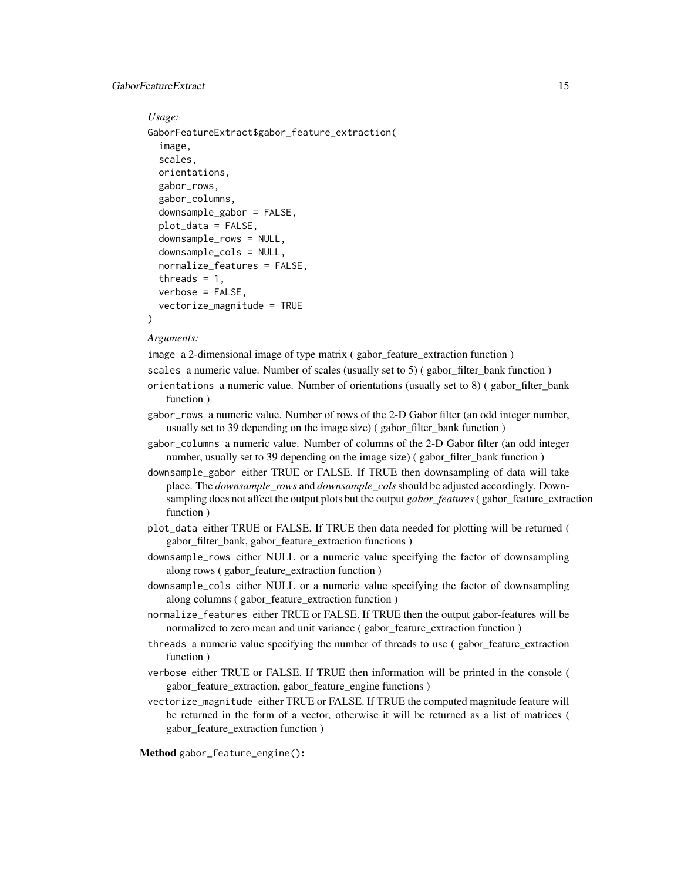#### GaborFeatureExtract 15

```
Usage:
GaborFeatureExtract$gabor_feature_extraction(
  image,
  scales,
 orientations,
 gabor_rows,
  gabor_columns,
  downsample_gabor = FALSE,
 plot_data = FALSE,
  downsample_rows = NULL,
  downsample_cols = NULL,
 normalize_features = FALSE,
  threads = 1,
  verbose = FALSE,
  vectorize_magnitude = TRUE
)
```
#### *Arguments:*

image a 2-dimensional image of type matrix ( gabor\_feature\_extraction function )

- scales a numeric value. Number of scales (usually set to  $5$ ) (gabor filter bank function )
- orientations a numeric value. Number of orientations (usually set to 8) ( gabor\_filter\_bank function )
- gabor\_rows a numeric value. Number of rows of the 2-D Gabor filter (an odd integer number, usually set to 39 depending on the image size) ( gabor\_filter\_bank function )
- gabor\_columns a numeric value. Number of columns of the 2-D Gabor filter (an odd integer number, usually set to 39 depending on the image size) ( gabor\_filter\_bank function )
- downsample\_gabor either TRUE or FALSE. If TRUE then downsampling of data will take place. The *downsample\_rows* and *downsample\_cols*should be adjusted accordingly. Downsampling does not affect the output plots but the output *gabor\_features*( gabor\_feature\_extraction function )
- plot\_data either TRUE or FALSE. If TRUE then data needed for plotting will be returned ( gabor\_filter\_bank, gabor\_feature\_extraction functions )
- downsample\_rows either NULL or a numeric value specifying the factor of downsampling along rows ( gabor\_feature\_extraction function )
- downsample\_cols either NULL or a numeric value specifying the factor of downsampling along columns ( gabor\_feature\_extraction function )
- normalize\_features either TRUE or FALSE. If TRUE then the output gabor-features will be normalized to zero mean and unit variance ( gabor\_feature\_extraction function )
- threads a numeric value specifying the number of threads to use ( gabor\_feature\_extraction function )
- verbose either TRUE or FALSE. If TRUE then information will be printed in the console ( gabor\_feature\_extraction, gabor\_feature\_engine functions )
- vectorize\_magnitude either TRUE or FALSE. If TRUE the computed magnitude feature will be returned in the form of a vector, otherwise it will be returned as a list of matrices ( gabor\_feature\_extraction function )

<span id="page-14-0"></span>Method gabor\_feature\_engine():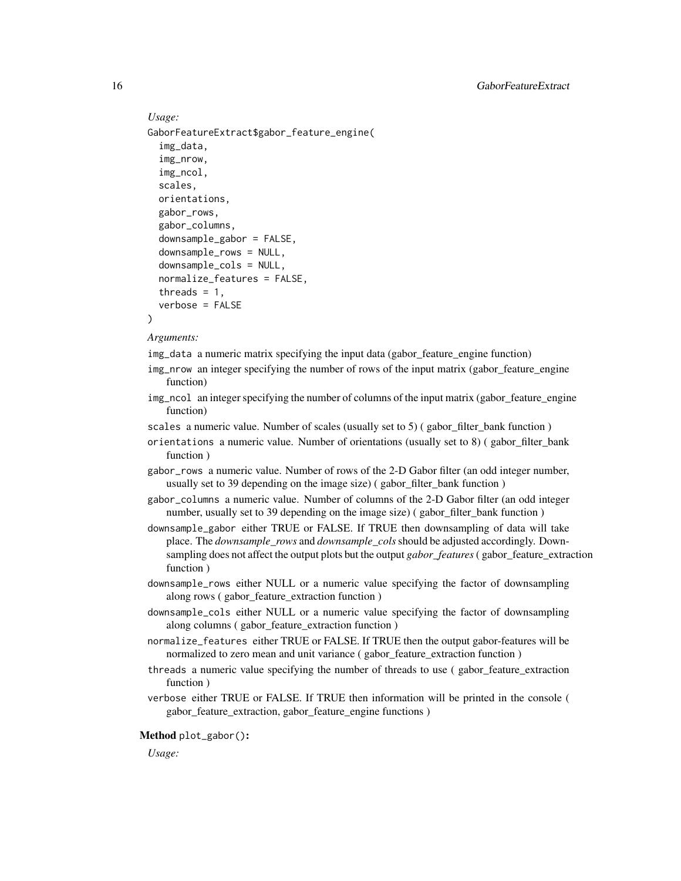## *Usage:* GaborFeatureExtract\$gabor\_feature\_engine( img\_data, img\_nrow, img\_ncol, scales, orientations, gabor\_rows, gabor\_columns, downsample\_gabor = FALSE,

```
downsample_rows = NULL,
downsample_cols = NULL,
normalize_features = FALSE,
threads = 1,
verbose = FALSE
```
)

#### *Arguments:*

img\_data a numeric matrix specifying the input data (gabor\_feature\_engine function)

- img\_nrow an integer specifying the number of rows of the input matrix (gabor\_feature\_engine function)
- img\_ncol an integer specifying the number of columns of the input matrix (gabor\_feature\_engine function)
- scales a numeric value. Number of scales (usually set to  $5$ ) (gabor\_filter\_bank function)
- orientations a numeric value. Number of orientations (usually set to  $8$ ) (gabor filter bank function )
- gabor\_rows a numeric value. Number of rows of the 2-D Gabor filter (an odd integer number, usually set to 39 depending on the image size) ( gabor\_filter\_bank function )
- gabor\_columns a numeric value. Number of columns of the 2-D Gabor filter (an odd integer number, usually set to 39 depending on the image size) ( gabor\_filter\_bank function )
- downsample\_gabor either TRUE or FALSE. If TRUE then downsampling of data will take place. The *downsample\_rows* and *downsample\_cols*should be adjusted accordingly. Downsampling does not affect the output plots but the output *gabor\_features*( gabor\_feature\_extraction function )
- downsample\_rows either NULL or a numeric value specifying the factor of downsampling along rows ( gabor\_feature\_extraction function )
- downsample\_cols either NULL or a numeric value specifying the factor of downsampling along columns ( gabor\_feature\_extraction function )
- normalize\_features either TRUE or FALSE. If TRUE then the output gabor-features will be normalized to zero mean and unit variance ( gabor\_feature\_extraction function )
- threads a numeric value specifying the number of threads to use ( gabor\_feature\_extraction function )
- verbose either TRUE or FALSE. If TRUE then information will be printed in the console ( gabor\_feature\_extraction, gabor\_feature\_engine functions )

<span id="page-15-0"></span>*Usage:*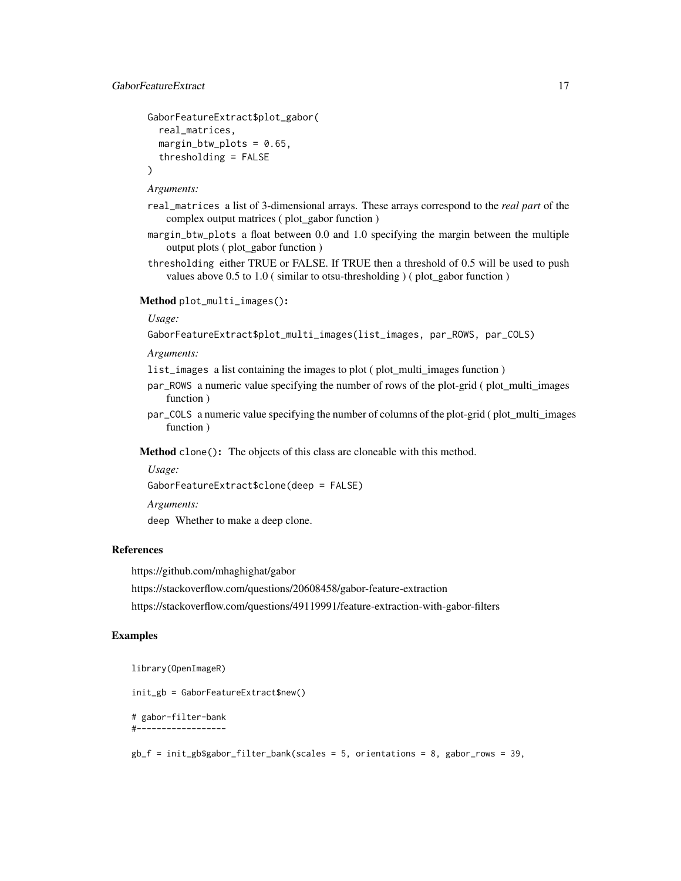## GaborFeatureExtract 17

```
GaborFeatureExtract$plot_gabor(
  real_matrices,
 margin_btw_plots = 0.65,
  thresholding = FALSE
)
```
#### *Arguments:*

- real\_matrices a list of 3-dimensional arrays. These arrays correspond to the *real part* of the complex output matrices ( plot\_gabor function )
- margin\_btw\_plots a float between 0.0 and 1.0 specifying the margin between the multiple output plots ( plot\_gabor function )
- thresholding either TRUE or FALSE. If TRUE then a threshold of 0.5 will be used to push values above 0.5 to 1.0 ( similar to otsu-thresholding ) ( plot\_gabor function )

## <span id="page-16-0"></span>Method plot\_multi\_images():

## *Usage:*

```
GaborFeatureExtract$plot_multi_images(list_images, par_ROWS, par_COLS)
```
#### *Arguments:*

list\_images a list containing the images to plot ( plot multi images function )

- par\_ROWS a numeric value specifying the number of rows of the plot-grid ( plot\_multi\_images function )
- par\_COLS a numeric value specifying the number of columns of the plot-grid ( plot\_multi\_images function )

<span id="page-16-1"></span>Method clone(): The objects of this class are cloneable with this method.

### *Usage:*

GaborFeatureExtract\$clone(deep = FALSE)

*Arguments:*

deep Whether to make a deep clone.

## References

https://github.com/mhaghighat/gabor

https://stackoverflow.com/questions/20608458/gabor-feature-extraction

https://stackoverflow.com/questions/49119991/feature-extraction-with-gabor-filters

#### Examples

library(OpenImageR)

init\_gb = GaborFeatureExtract\$new()

# gabor-filter-bank #------------------

gb\_f = init\_gb\$gabor\_filter\_bank(scales = 5, orientations = 8, gabor\_rows = 39,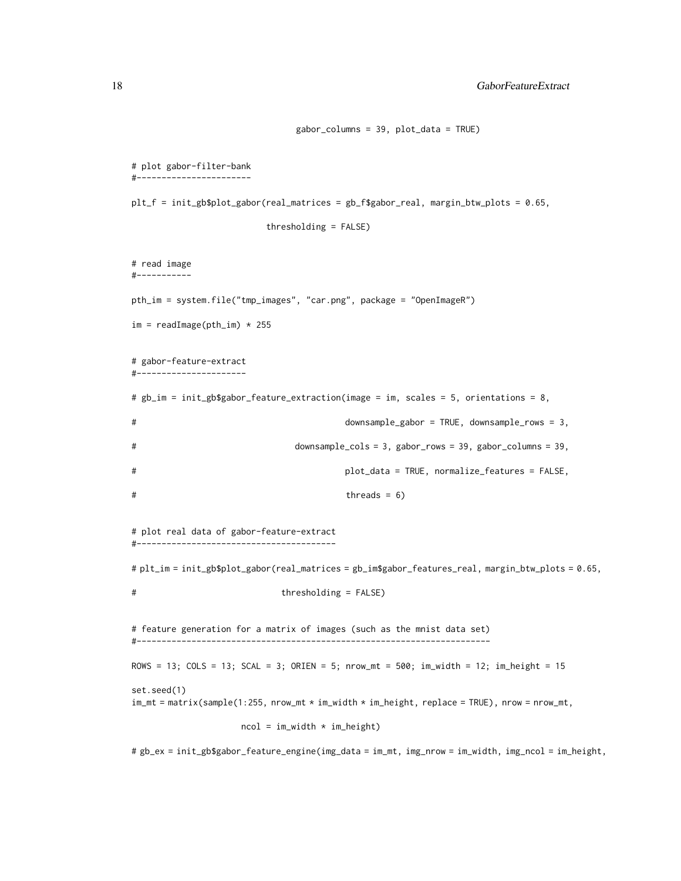```
gabor_columns = 39, plot_data = TRUE)
# plot gabor-filter-bank
#-----------------------
plt_f = init_gb$plot_gabor(real_matrices = gb_f$gabor_real, margin_btw_plots = 0.65,
                        thresholding = FALSE)
# read image
#-----------
pth_im = system.file("tmp_images", "car.png", package = "OpenImageR")
im = readImage(pth\_im) * 255# gabor-feature-extract
#----------------------
# gb_im = init_gb$gabor_feature_extraction(image = im, scales = 5, orientations = 8,
# downsample_gabor = TRUE, downsample_rows = 3,
# downsample_cols = 3, gabor_rows = 39, gabor_columns = 39,
# plot_data = TRUE, normalize_features = FALSE,
# threads = 6)
# plot real data of gabor-feature-extract
#----------------------------------------
# plt_im = init_gb$plot_gabor(real_matrices = gb_im$gabor_features_real, margin_btw_plots = 0.65,
# thresholding = FALSE)
# feature generation for a matrix of images (such as the mnist data set)
#-----------------------------------------------------------------------
ROWS = 13; COLS = 13; SCAL = 3; ORIEN = 5; nrow_mt = 500; im_width = 12; im_height = 15
set.seed(1)
im\_mt = matrix(sample(1:255, nrow\_mt * im\_width * im\_height, replace = TRUE), nrow = nrow\_mt,
                   ncol = im_width * im_hejht)# gb_ex = init_gb$gabor_feature_engine(img_data = im_mt, img_nrow = im_width, img_ncol = im_height,
```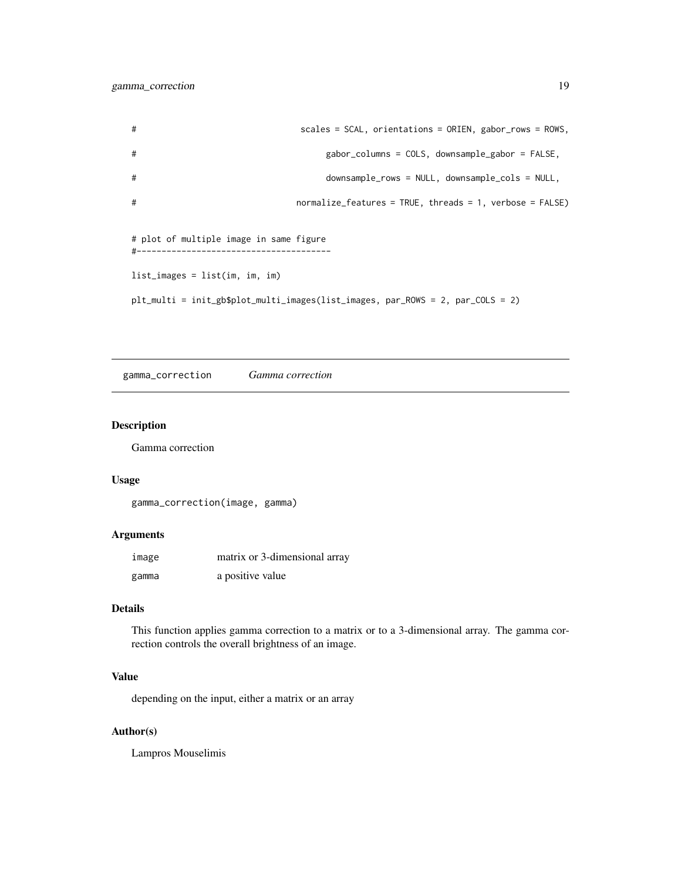<span id="page-18-0"></span># scales = SCAL, orientations = ORIEN, gabor\_rows = ROWS, # gabor\_columns = COLS, downsample\_gabor = FALSE, # downsample\_rows = NULL, downsample\_cols = NULL, # normalize\_features = TRUE, threads = 1, verbose = FALSE) # plot of multiple image in same figure #-------------------------------------- list\_images = list(im, im, im) plt\_multi = init\_gb\$plot\_multi\_images(list\_images, par\_ROWS = 2, par\_COLS = 2)

gamma\_correction *Gamma correction*

#### Description

Gamma correction

## Usage

gamma\_correction(image, gamma)

## Arguments

| image | matrix or 3-dimensional array |
|-------|-------------------------------|
| gamma | a positive value              |

### Details

This function applies gamma correction to a matrix or to a 3-dimensional array. The gamma correction controls the overall brightness of an image.

## Value

depending on the input, either a matrix or an array

### Author(s)

Lampros Mouselimis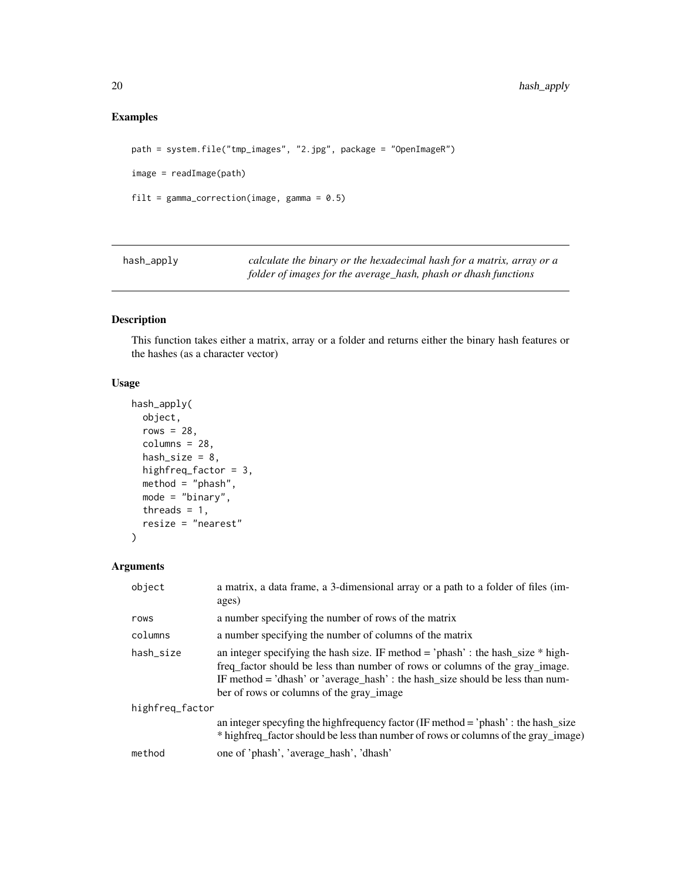## <span id="page-19-0"></span>Examples

```
path = system.file("tmp_images", "2.jpg", package = "OpenImageR")
image = readImage(path)
filt = gamma_{corr} correction(image, gamma = 0.5)
```
hash\_apply *calculate the binary or the hexadecimal hash for a matrix, array or a folder of images for the average\_hash, phash or dhash functions*

## Description

This function takes either a matrix, array or a folder and returns either the binary hash features or the hashes (as a character vector)

## Usage

```
hash_apply(
  object,
  rows = 28,
  columns = 28,hash_size = 8,
  highfreq_factor = 3,
 method = "phash",
 mode = "binary",
  threads = 1,
  resize = "nearest"
)
```

| object          | a matrix, a data frame, a 3-dimensional array or a path to a folder of files (im-<br>ages)                                                                                                                                                                                                       |
|-----------------|--------------------------------------------------------------------------------------------------------------------------------------------------------------------------------------------------------------------------------------------------------------------------------------------------|
| rows            | a number specifying the number of rows of the matrix                                                                                                                                                                                                                                             |
| columns         | a number specifying the number of columns of the matrix                                                                                                                                                                                                                                          |
| hash_size       | an integer specifying the hash size. IF method = 'phash' : the hash_size $*$ high-<br>freq factor should be less than number of rows or columns of the gray image.<br>IF method = 'dhash' or 'average_hash' : the hash_size should be less than num-<br>ber of rows or columns of the gray_image |
| highfreg_factor |                                                                                                                                                                                                                                                                                                  |
|                 | an integer specyfing the highfrequency factor (IF method = 'phash' : the hash_size<br>* hightreq_factor should be less than number of rows or columns of the gray_image)                                                                                                                         |
| method          | one of 'phash', 'average_hash', 'dhash'                                                                                                                                                                                                                                                          |
|                 |                                                                                                                                                                                                                                                                                                  |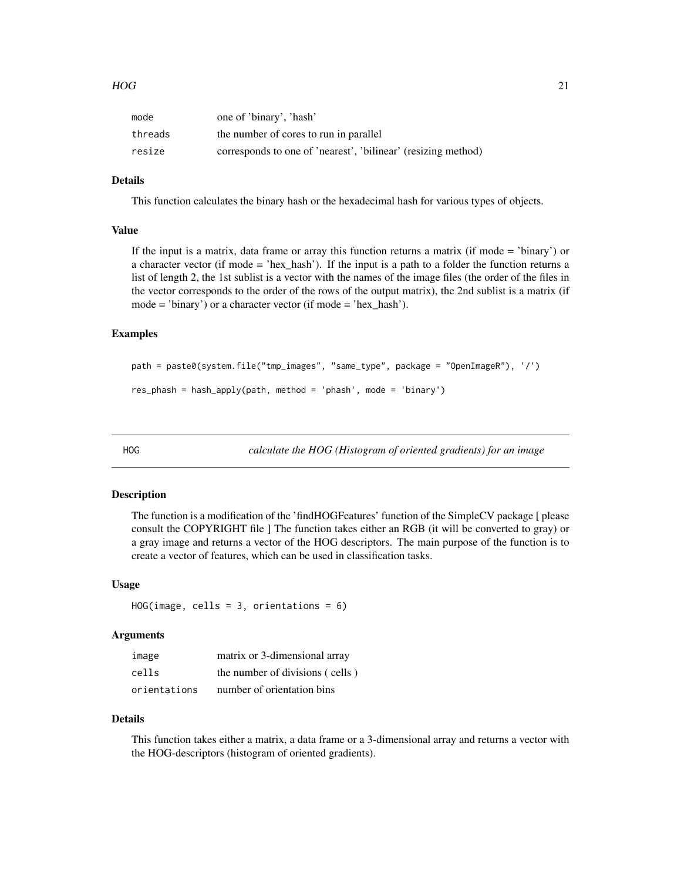<span id="page-20-0"></span>

| mode    | one of 'binary', 'hash'                                       |
|---------|---------------------------------------------------------------|
| threads | the number of cores to run in parallel                        |
| resize  | corresponds to one of 'nearest', 'bilinear' (resizing method) |

## Details

This function calculates the binary hash or the hexadecimal hash for various types of objects.

#### Value

If the input is a matrix, data frame or array this function returns a matrix (if mode = 'binary') or a character vector (if mode  $=$  'hex hash'). If the input is a path to a folder the function returns a list of length 2, the 1st sublist is a vector with the names of the image files (the order of the files in the vector corresponds to the order of the rows of the output matrix), the 2nd sublist is a matrix (if mode = 'binary') or a character vector (if mode = 'hex\_hash').

#### Examples

```
path = paste0(system.file("tmp_images", "same_type", package = "OpenImageR"), '/')
res_phash = hash_apply(path, method = 'phash', mode = 'binary')
```
HOG *calculate the HOG (Histogram of oriented gradients) for an image*

#### Description

The function is a modification of the 'findHOGFeatures' function of the SimpleCV package [ please consult the COPYRIGHT file ] The function takes either an RGB (it will be converted to gray) or a gray image and returns a vector of the HOG descriptors. The main purpose of the function is to create a vector of features, which can be used in classification tasks.

#### Usage

```
HOG(image, cells = 3, orientation = 6)
```
## Arguments

| image        | matrix or 3-dimensional array   |
|--------------|---------------------------------|
| cells        | the number of divisions (cells) |
| orientations | number of orientation bins      |

#### Details

This function takes either a matrix, a data frame or a 3-dimensional array and returns a vector with the HOG-descriptors (histogram of oriented gradients).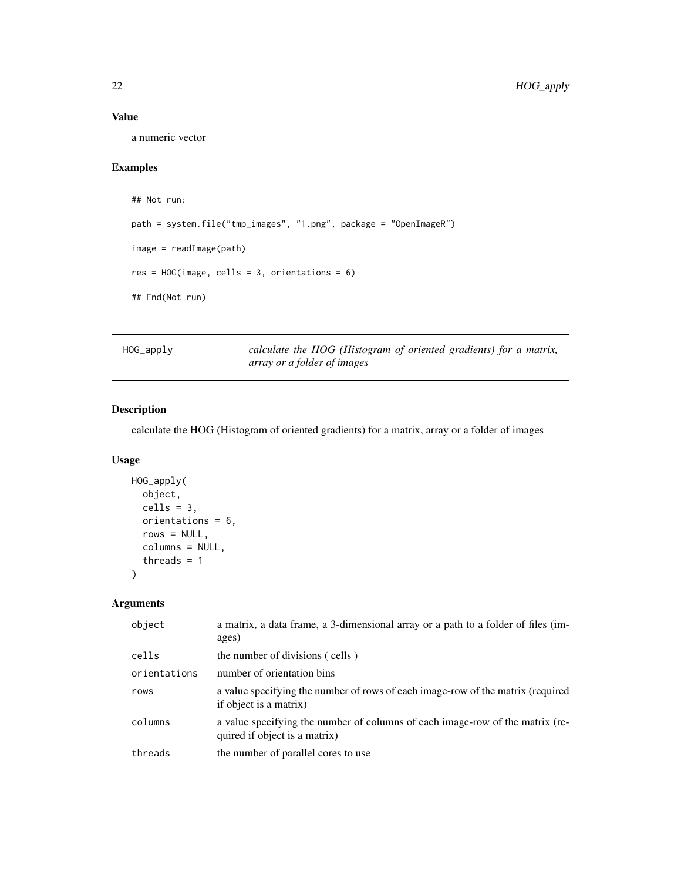## <span id="page-21-0"></span>Value

a numeric vector

## Examples

```
## Not run:
path = system.file("tmp_images", "1.png", package = "OpenImageR")
image = readImage(path)
res = HOG (image, cells = 3, orientation = 6)## End(Not run)
```
HOG\_apply *calculate the HOG (Histogram of oriented gradients) for a matrix, array or a folder of images*

## Description

calculate the HOG (Histogram of oriented gradients) for a matrix, array or a folder of images

## Usage

```
HOG_apply(
 object,
 cells = 3,
 orientations = 6,
 rows = NULL,columns = NULL,
  threads = 1)
```

| object       | a matrix, a data frame, a 3-dimensional array or a path to a folder of files (im-<br>ages)                     |
|--------------|----------------------------------------------------------------------------------------------------------------|
| cells        | the number of divisions (cells)                                                                                |
| orientations | number of orientation bins                                                                                     |
| rows         | a value specifying the number of rows of each image-row of the matrix (required<br>if object is a matrix)      |
| columns      | a value specifying the number of columns of each image-row of the matrix (re-<br>quired if object is a matrix) |
| threads      | the number of parallel cores to use                                                                            |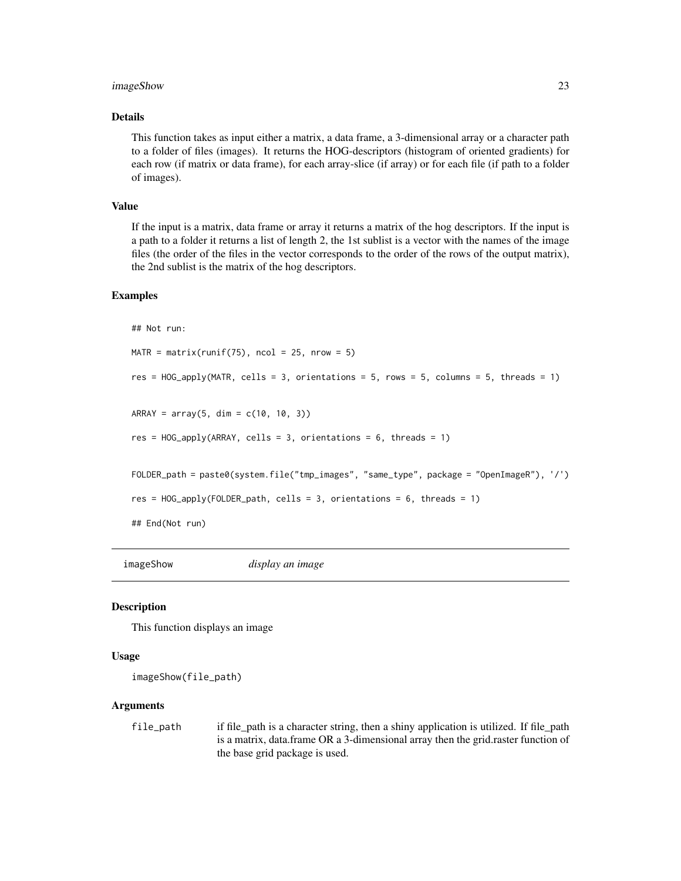### <span id="page-22-0"></span>imageShow 23

### Details

This function takes as input either a matrix, a data frame, a 3-dimensional array or a character path to a folder of files (images). It returns the HOG-descriptors (histogram of oriented gradients) for each row (if matrix or data frame), for each array-slice (if array) or for each file (if path to a folder of images).

#### Value

If the input is a matrix, data frame or array it returns a matrix of the hog descriptors. If the input is a path to a folder it returns a list of length 2, the 1st sublist is a vector with the names of the image files (the order of the files in the vector corresponds to the order of the rows of the output matrix), the 2nd sublist is the matrix of the hog descriptors.

#### Examples

```
## Not run:
```

```
MATR = matrix(runif(75), ncol = 25, nrow = 5)
res = HOG_apply(MATR, cells = 3, orientations = 5, rows = 5, columns = 5, threads = 1)
ARRAY = array(5, dim = c(10, 10, 3))res = HOG_apply(ARRAY, cells = 3, orientations = 6, threads = 1)
FOLDER_path = paste0(system.file("tmp_images", "same_type", package = "OpenImageR"), '/')
res = HOG_apply(FOLDER_path, cells = 3, orientations = 6, threads = 1)
## End(Not run)
```
imageShow *display an image*

#### Description

This function displays an image

#### Usage

```
imageShow(file_path)
```
#### Arguments

file\_path if file\_path is a character string, then a shiny application is utilized. If file\_path is a matrix, data.frame OR a 3-dimensional array then the grid.raster function of the base grid package is used.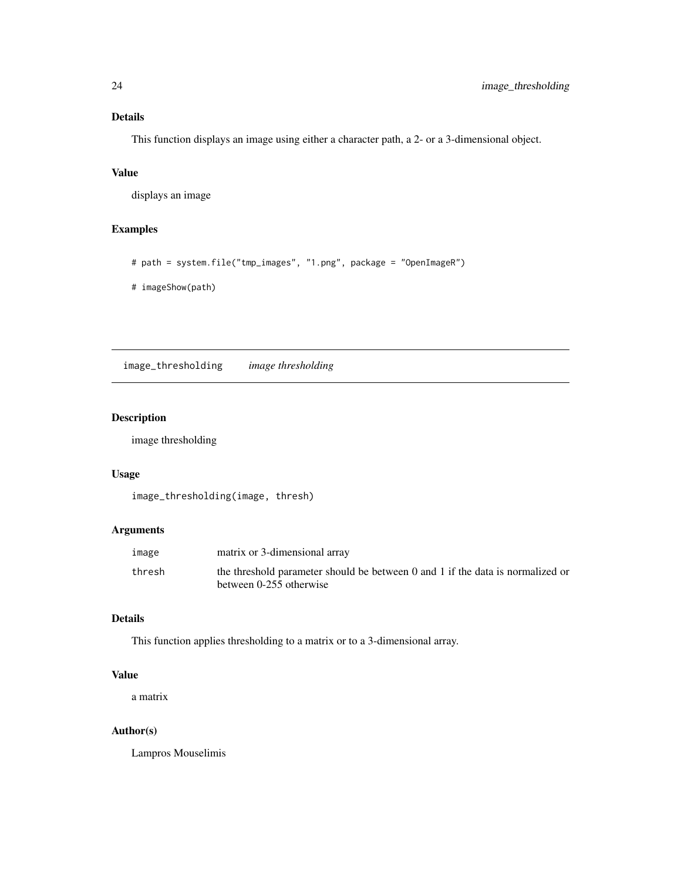## <span id="page-23-0"></span>Details

This function displays an image using either a character path, a 2- or a 3-dimensional object.

## Value

displays an image

## Examples

```
# path = system.file("tmp_images", "1.png", package = "OpenImageR")
```
# imageShow(path)

image\_thresholding *image thresholding*

## Description

image thresholding

## Usage

image\_thresholding(image, thresh)

## Arguments

| image  | matrix or 3-dimensional array                                                  |
|--------|--------------------------------------------------------------------------------|
| thresh | the threshold parameter should be between 0 and 1 if the data is normalized or |
|        | between 0-255 otherwise                                                        |

## Details

This function applies thresholding to a matrix or to a 3-dimensional array.

## Value

a matrix

## Author(s)

Lampros Mouselimis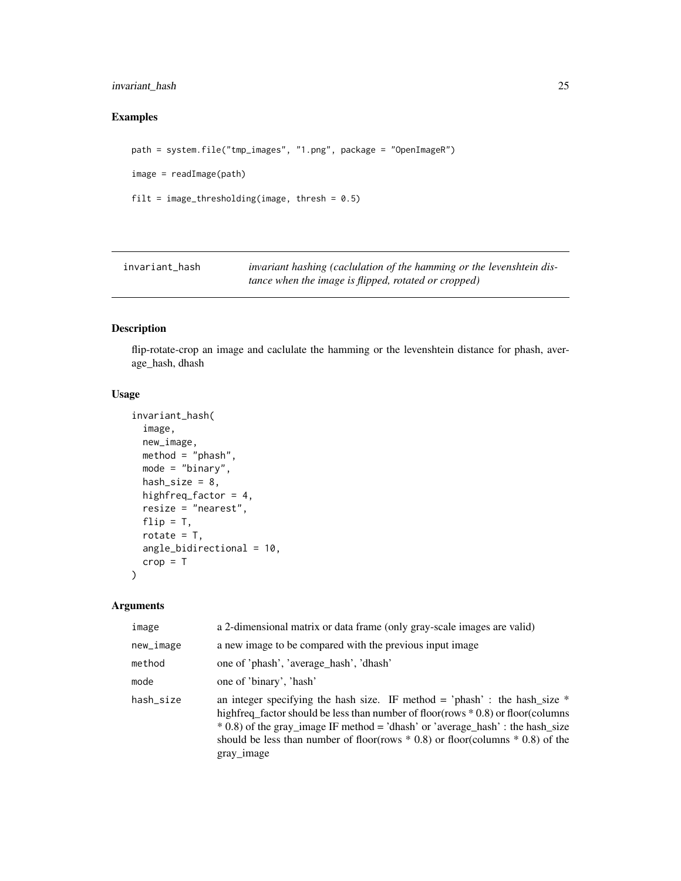## <span id="page-24-0"></span>invariant\_hash 25

## Examples

```
path = system.file("tmp_images", "1.png", package = "OpenImageR")
image = readImage(path)
filt = image_thresholding(image, thresh = 0.5)
```
invariant\_hash *invariant hashing (caclulation of the hamming or the levenshtein distance when the image is flipped, rotated or cropped)*

#### Description

flip-rotate-crop an image and caclulate the hamming or the levenshtein distance for phash, average\_hash, dhash

#### Usage

```
invariant_hash(
  image,
 new_image,
 method = "phash",mode = "binary",
 hash_size = 8,
 highfreq_factor = 4,
 resize = "nearest",
 flip = T,
  rotate = T,
  angle_bidirectional = 10,
  crop = T)
```

| image     | a 2-dimensional matrix or data frame (only gray-scale images are valid)                                                                                                                                                                                                                                                                                  |
|-----------|----------------------------------------------------------------------------------------------------------------------------------------------------------------------------------------------------------------------------------------------------------------------------------------------------------------------------------------------------------|
| new_image | a new image to be compared with the previous input image                                                                                                                                                                                                                                                                                                 |
| method    | one of 'phash', 'average hash', 'dhash'                                                                                                                                                                                                                                                                                                                  |
| mode      | one of 'binary', 'hash'                                                                                                                                                                                                                                                                                                                                  |
| hash size | an integer specifying the hash size. IF method = 'phash' : the hash_size $*$<br>highfreq_factor should be less than number of floor(rows * 0.8) or floor(columns<br>$*$ 0.8) of the gray_image IF method = 'dhash' or 'average_hash' : the hash_size<br>should be less than number of floor(rows $*$ 0.8) or floor(columns $*$ 0.8) of the<br>gray_image |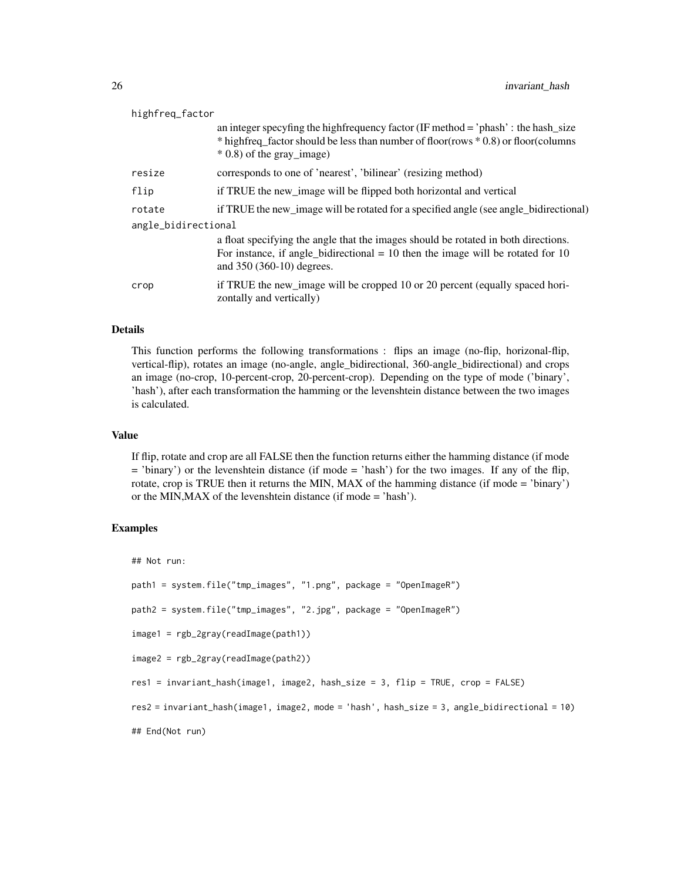| highfreq_factor     |                                                                                                                                                                                                            |  |
|---------------------|------------------------------------------------------------------------------------------------------------------------------------------------------------------------------------------------------------|--|
|                     | an integer specyfing the high frequency factor (IF method $=$ 'phash' : the hash_size<br>* hightreq_factor should be less than number of floor(rows * 0.8) or floor(columns<br>$*$ 0.8) of the gray image) |  |
| resize              | corresponds to one of 'nearest', 'bilinear' (resizing method)                                                                                                                                              |  |
| flip                | if TRUE the new_image will be flipped both horizontal and vertical                                                                                                                                         |  |
| rotate              | if TRUE the new_image will be rotated for a specified angle (see angle_bidirectional)                                                                                                                      |  |
| angle_bidirectional |                                                                                                                                                                                                            |  |
|                     | a float specifying the angle that the images should be rotated in both directions.<br>For instance, if angle bidirectional $= 10$ then the image will be rotated for 10<br>and 350 (360-10) degrees.       |  |
| crop                | if TRUE the new_image will be cropped 10 or 20 percent (equally spaced hori-<br>zontally and vertically)                                                                                                   |  |

#### Details

This function performs the following transformations : flips an image (no-flip, horizonal-flip, vertical-flip), rotates an image (no-angle, angle\_bidirectional, 360-angle\_bidirectional) and crops an image (no-crop, 10-percent-crop, 20-percent-crop). Depending on the type of mode ('binary', 'hash'), after each transformation the hamming or the levenshtein distance between the two images is calculated.

## Value

If flip, rotate and crop are all FALSE then the function returns either the hamming distance (if mode = 'binary') or the levenshtein distance (if mode = 'hash') for the two images. If any of the flip, rotate, crop is TRUE then it returns the MIN, MAX of the hamming distance (if mode = 'binary') or the MIN,MAX of the levenshtein distance (if mode = 'hash').

#### Examples

```
## Not run:
```

```
path1 = system.file("tmp_images", "1.png", package = "OpenImageR")
```
path2 = system.file("tmp\_images", "2.jpg", package = "OpenImageR")

```
image1 = rgb_2gray(readImage(path1))
```

```
image2 = rgb_2gray(readImage(path2))
```
res1 = invariant\_hash(image1, image2, hash\_size = 3, flip = TRUE, crop = FALSE)

```
res2 = invariant_hash(image1, image2, mode = 'hash', hash_size = 3, angle_bidirectional = 10)
```

```
## End(Not run)
```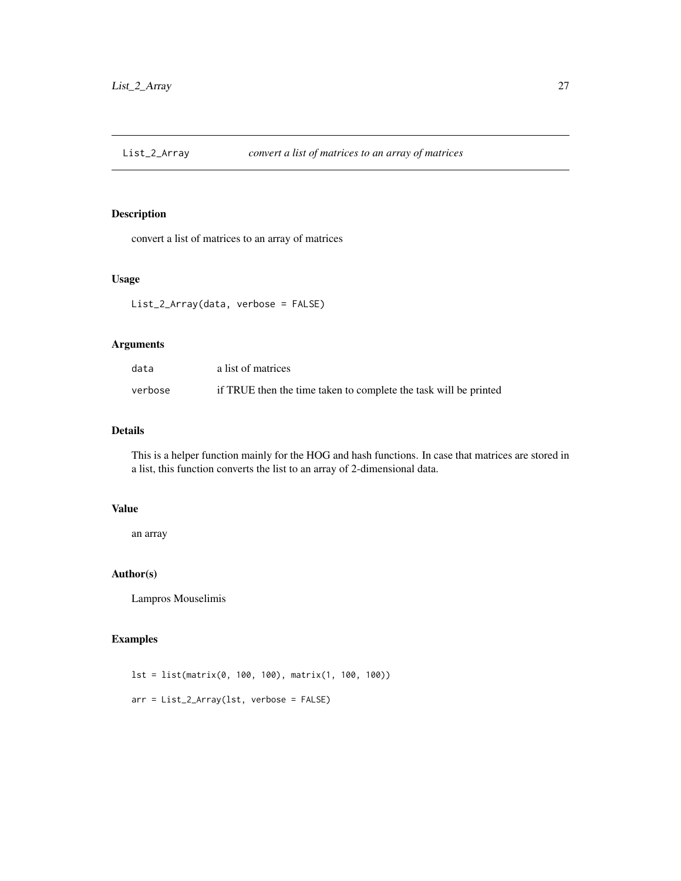<span id="page-26-0"></span>

convert a list of matrices to an array of matrices

#### Usage

List\_2\_Array(data, verbose = FALSE)

## Arguments

| data    | a list of matrices                                               |
|---------|------------------------------------------------------------------|
| verbose | if TRUE then the time taken to complete the task will be printed |

## Details

This is a helper function mainly for the HOG and hash functions. In case that matrices are stored in a list, this function converts the list to an array of 2-dimensional data.

## Value

an array

## Author(s)

Lampros Mouselimis

#### Examples

lst = list(matrix(0, 100, 100), matrix(1, 100, 100)) arr = List\_2\_Array(lst, verbose = FALSE)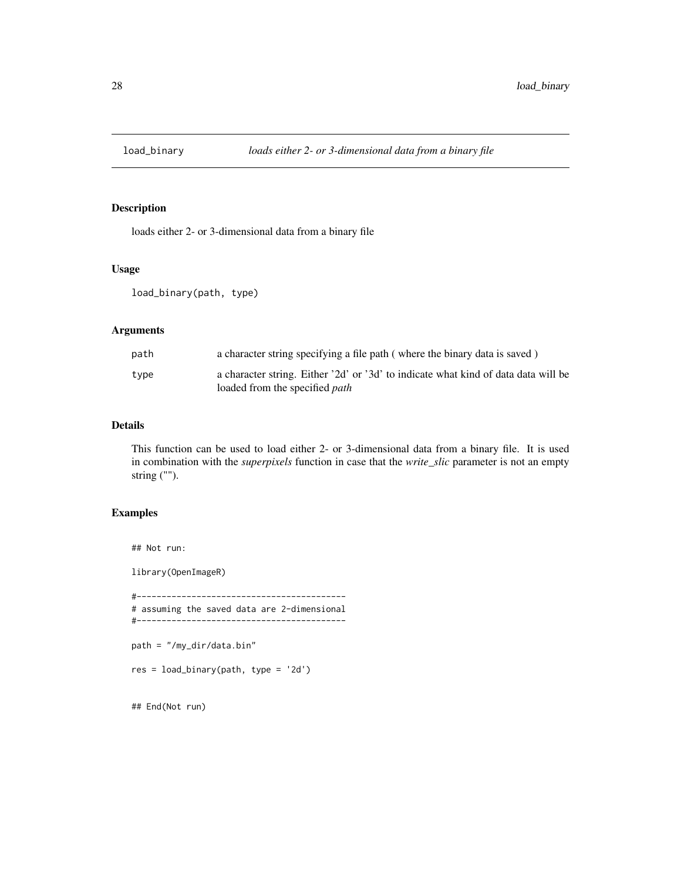<span id="page-27-0"></span>

loads either 2- or 3-dimensional data from a binary file

## Usage

load\_binary(path, type)

## Arguments

| path | a character string specifying a file path (where the binary data is saved)                                                  |
|------|-----------------------------------------------------------------------------------------------------------------------------|
| type | a character string. Either '2d' or '3d' to indicate what kind of data data will be<br>loaded from the specified <i>path</i> |

## Details

This function can be used to load either 2- or 3-dimensional data from a binary file. It is used in combination with the *superpixels* function in case that the *write\_slic* parameter is not an empty string ("").

## Examples

## Not run:

library(OpenImageR)

```
#------------------------------------------
# assuming the saved data are 2-dimensional
#------------------------------------------
```
path = "/my\_dir/data.bin"

res = load\_binary(path, type = '2d')

## End(Not run)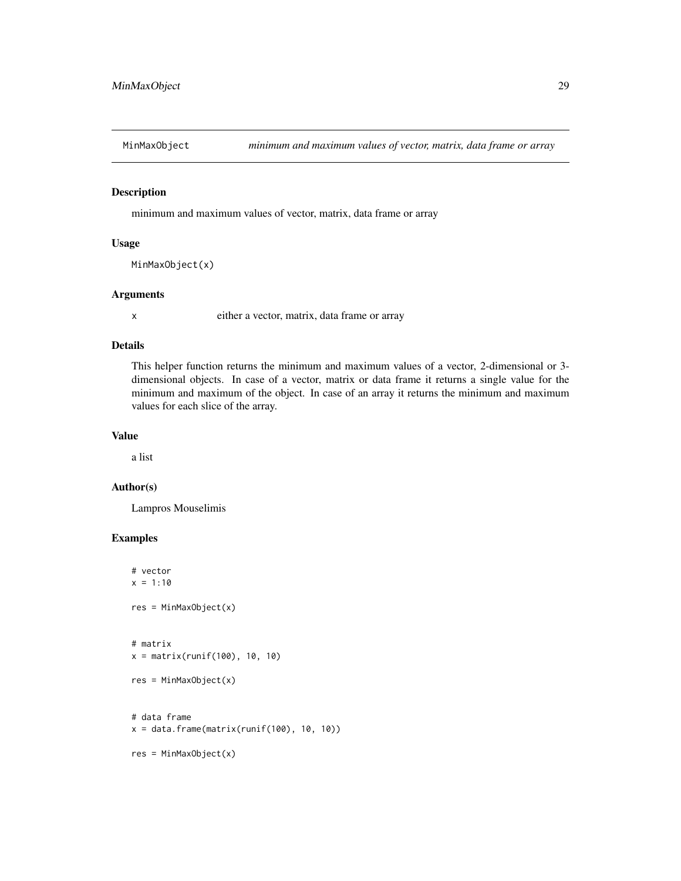<span id="page-28-0"></span>

minimum and maximum values of vector, matrix, data frame or array

#### Usage

```
MinMaxObject(x)
```
#### Arguments

x either a vector, matrix, data frame or array

#### Details

This helper function returns the minimum and maximum values of a vector, 2-dimensional or 3 dimensional objects. In case of a vector, matrix or data frame it returns a single value for the minimum and maximum of the object. In case of an array it returns the minimum and maximum values for each slice of the array.

## Value

a list

## Author(s)

Lampros Mouselimis

```
# vector
x = 1:10res = MinMaxObject(x)
# matrix
x = matrix(runit(100), 10, 10)res = MinMaxObject(x)
# data frame
x = data. frame(matrix(runif(100), 10, 10))
res = MinMaxObject(x)
```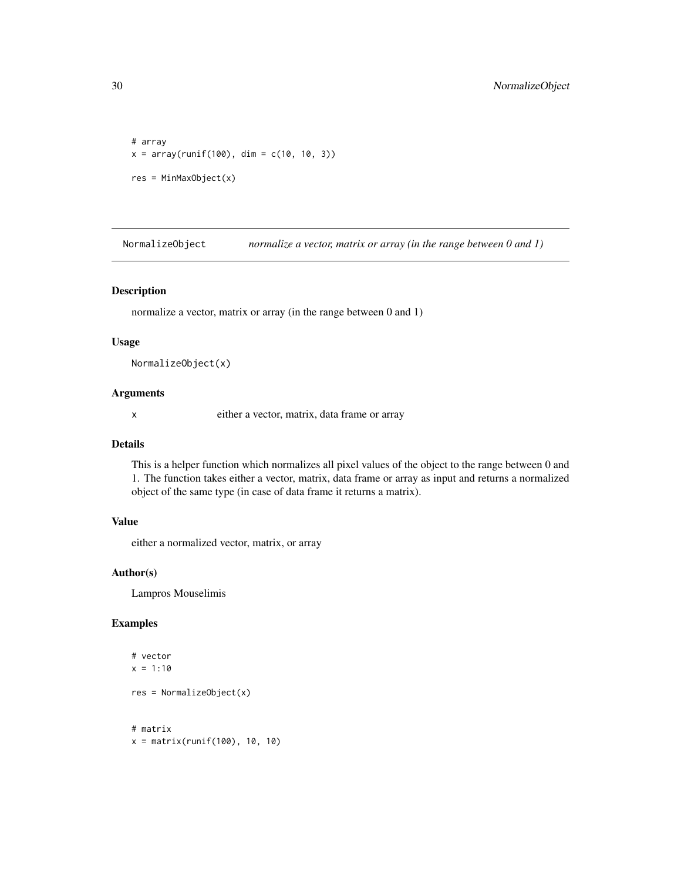```
# array
x = array(runif(100), dim = c(10, 10, 3))res = MinMaxObject(x)
```
NormalizeObject *normalize a vector, matrix or array (in the range between 0 and 1)*

#### Description

normalize a vector, matrix or array (in the range between 0 and 1)

#### Usage

```
NormalizeObject(x)
```
#### Arguments

x either a vector, matrix, data frame or array

## Details

This is a helper function which normalizes all pixel values of the object to the range between 0 and 1. The function takes either a vector, matrix, data frame or array as input and returns a normalized object of the same type (in case of data frame it returns a matrix).

## Value

either a normalized vector, matrix, or array

## Author(s)

Lampros Mouselimis

```
# vector
x = 1:10res = NormalizeObject(x)
# matrix
x = matrix(runif(100), 10, 10)
```
<span id="page-29-0"></span>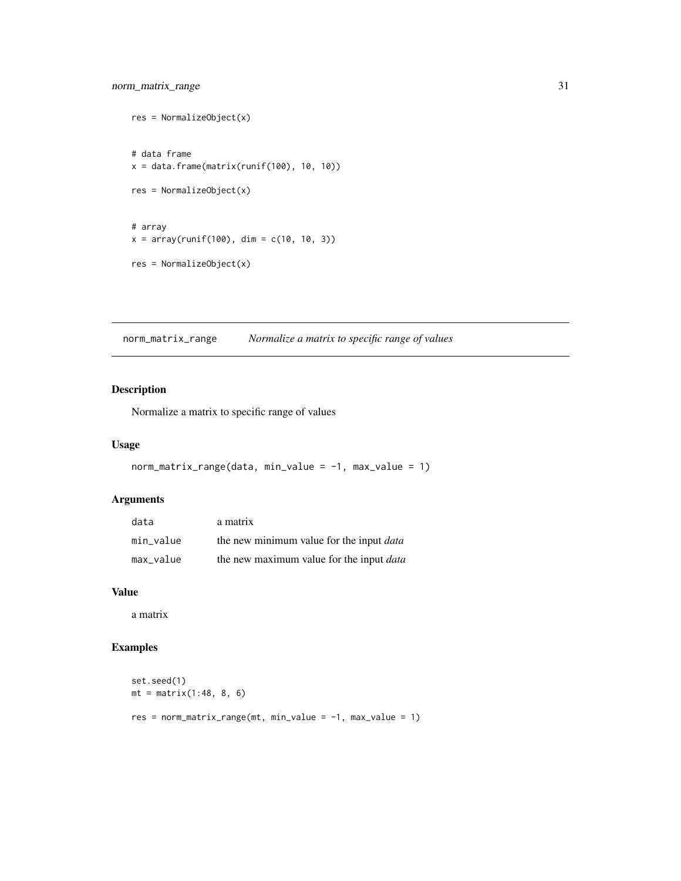```
res = NormalizeObject(x)
# data frame
x = data-frame(matrix(runif(100), 10, 10))res = NormalizeObject(x)
# array
x = array(runif(100), dim = c(10, 10, 3))res = NormalizeObject(x)
```
norm\_matrix\_range *Normalize a matrix to specific range of values*

## Description

Normalize a matrix to specific range of values

## Usage

```
norm_matrix_range(data, min_value = -1, max_value = 1)
```
## Arguments

| data      | a matrix                                        |
|-----------|-------------------------------------------------|
| min value | the new minimum value for the input <i>data</i> |
| max_value | the new maximum value for the input <i>data</i> |

#### Value

a matrix

```
set.seed(1)
mt = matrix(1:48, 8, 6)res = norm_matrix_range(mt, min_value = -1, max_value = 1)
```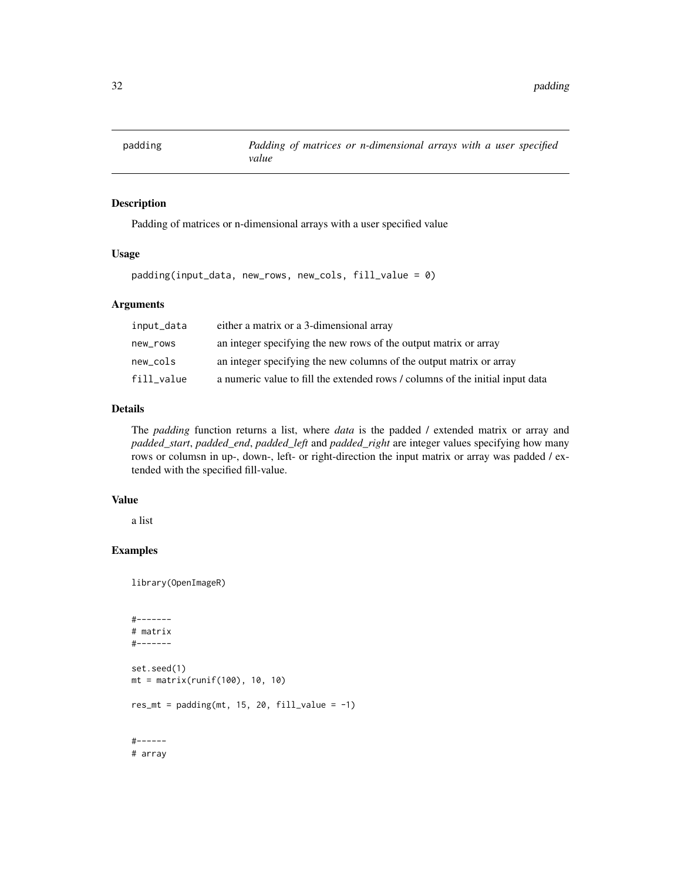<span id="page-31-0"></span>

Padding of matrices or n-dimensional arrays with a user specified value

#### Usage

padding(input\_data, new\_rows, new\_cols, fill\_value = 0)

## Arguments

| input_data | either a matrix or a 3-dimensional array                                      |
|------------|-------------------------------------------------------------------------------|
| new_rows   | an integer specifying the new rows of the output matrix or array              |
| new_cols   | an integer specifying the new columns of the output matrix or array           |
| fill_value | a numeric value to fill the extended rows / columns of the initial input data |

## Details

The *padding* function returns a list, where *data* is the padded / extended matrix or array and *padded\_start*, *padded\_end*, *padded\_left* and *padded\_right* are integer values specifying how many rows or columsn in up-, down-, left- or right-direction the input matrix or array was padded / extended with the specified fill-value.

## Value

a list

## Examples

library(OpenImageR)

```
#-------
# matrix
#-------
set.seed(1)
mt = matrix(runif(100), 10, 10)res_mt = padding(mt, 15, 20, fill_value = -1)#------
# array
```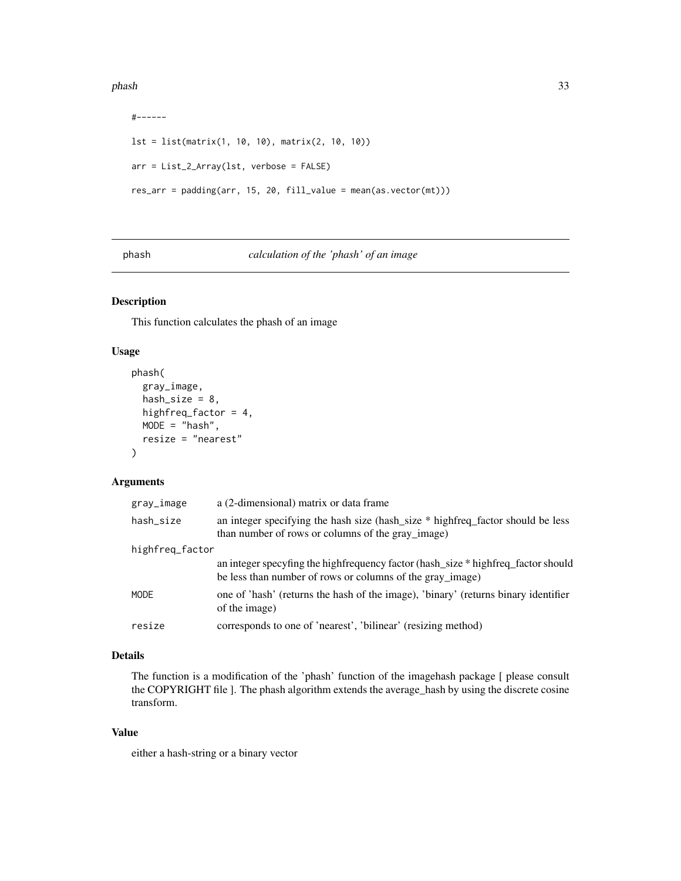#### <span id="page-32-0"></span>phash 33

```
#------
lst = list(matrix(1, 10, 10), matrix(2, 10, 10))
arr = List_2_Array(lst, verbose = FALSE)
res_arr = padding(arr, 15, 20, fill_value = mean(as.vector(mt)))
```
#### phash *calculation of the 'phash' of an image*

## Description

This function calculates the phash of an image

## Usage

```
phash(
  gray_image,
  hash_size = 8,
  highfreq_factor = 4,
  MODE = "hash",resize = "nearest"
\mathcal{L}
```
## Arguments

| gray_image      | a (2-dimensional) matrix or data frame                                                                                                         |
|-----------------|------------------------------------------------------------------------------------------------------------------------------------------------|
| hash_size       | an integer specifying the hash size (hash_size * highfreq_factor should be less<br>than number of rows or columns of the gray_image)           |
| highfreq_factor |                                                                                                                                                |
|                 | an integer specyfing the highfrequency factor (hash_size * highfreq_factor should<br>be less than number of rows or columns of the gray_image) |
| MODE            | one of 'hash' (returns the hash of the image), 'binary' (returns binary identifier<br>of the image)                                            |
| resize          | corresponds to one of 'nearest', 'bilinear' (resizing method)                                                                                  |

## Details

The function is a modification of the 'phash' function of the imagehash package [ please consult the COPYRIGHT file ]. The phash algorithm extends the average\_hash by using the discrete cosine transform.

## Value

either a hash-string or a binary vector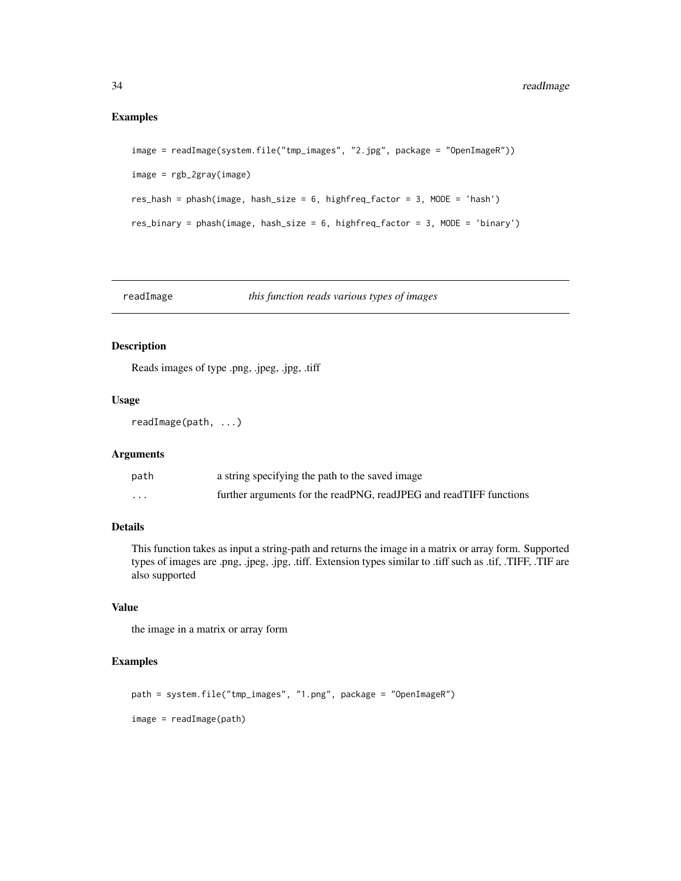## <span id="page-33-0"></span>Examples

```
image = readImage(system.file("tmp_images", "2.jpg", package = "OpenImageR"))
image = rgb_2gray(image)
res_hash = phash(image, hash_size = 6, highfreq_factor = 3, MODE = 'hash')
res_binary = phash(image, hash_size = 6, highfreq_factor = 3, MODE = 'binary')
```
## readImage *this function reads various types of images*

#### Description

Reads images of type .png, .jpeg, .jpg, .tiff

#### Usage

```
readImage(path, ...)
```
#### Arguments

| path     | a string specifying the path to the saved image                    |
|----------|--------------------------------------------------------------------|
| $\cdots$ | further arguments for the readPNG, readJPEG and readTIFF functions |

## Details

This function takes as input a string-path and returns the image in a matrix or array form. Supported types of images are .png, .jpeg, .jpg, .tiff. Extension types similar to .tiff such as .tif, .TIFF, .TIF are also supported

## Value

the image in a matrix or array form

```
path = system.file("tmp_images", "1.png", package = "OpenImageR")
image = readImage(path)
```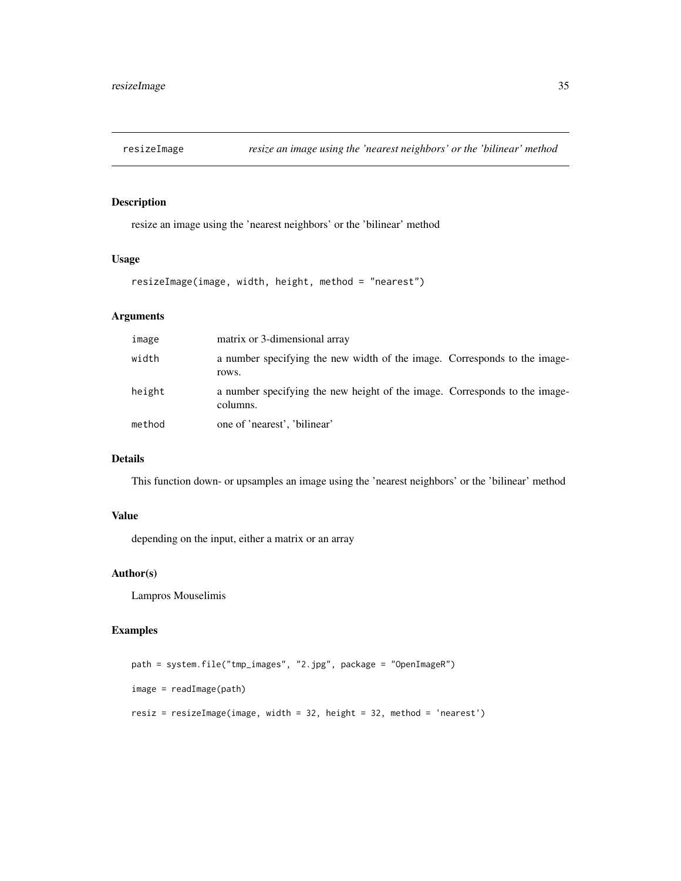<span id="page-34-0"></span>

resize an image using the 'nearest neighbors' or the 'bilinear' method

## Usage

```
resizeImage(image, width, height, method = "nearest")
```
## Arguments

| image  | matrix or 3-dimensional array                                                          |  |
|--------|----------------------------------------------------------------------------------------|--|
| width  | a number specifying the new width of the image. Corresponds to the image-<br>rows.     |  |
| height | a number specifying the new height of the image. Corresponds to the image-<br>columns. |  |
| method | one of 'nearest', 'bilinear'                                                           |  |

## Details

This function down- or upsamples an image using the 'nearest neighbors' or the 'bilinear' method

#### Value

depending on the input, either a matrix or an array

## Author(s)

Lampros Mouselimis

```
path = system.file("tmp_images", "2.jpg", package = "OpenImageR")
image = readImage(path)
resiz = resizeImage(image, width = 32, height = 32, method = 'nearest')
```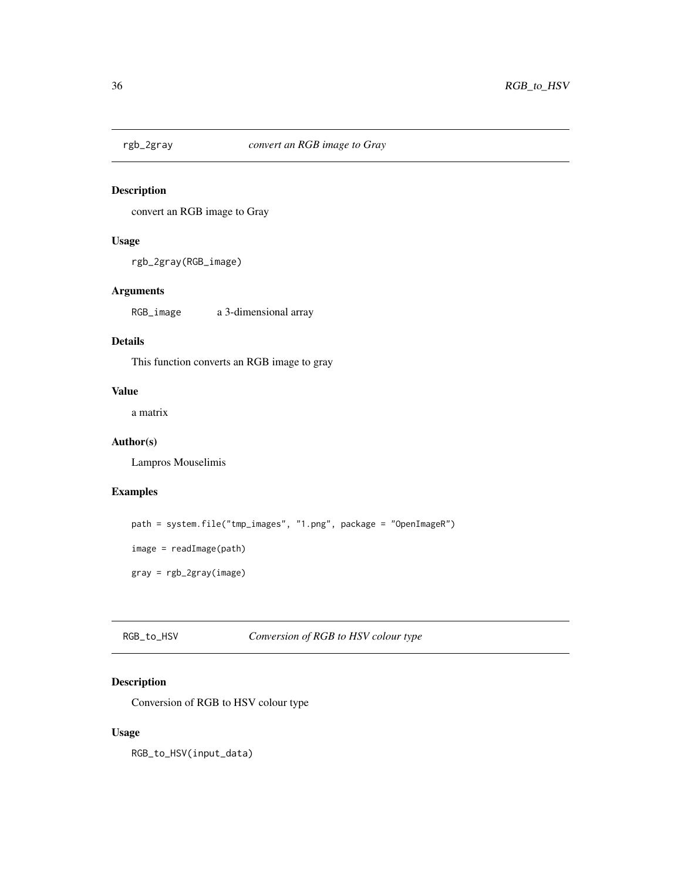<span id="page-35-0"></span>

convert an RGB image to Gray

## Usage

```
rgb_2gray(RGB_image)
```
## Arguments

RGB\_image a 3-dimensional array

## Details

This function converts an RGB image to gray

## Value

a matrix

## Author(s)

Lampros Mouselimis

## Examples

```
path = system.file("tmp_images", "1.png", package = "OpenImageR")
image = readImage(path)
gray = rgb_2gray(image)
```
RGB\_to\_HSV *Conversion of RGB to HSV colour type*

## Description

Conversion of RGB to HSV colour type

## Usage

RGB\_to\_HSV(input\_data)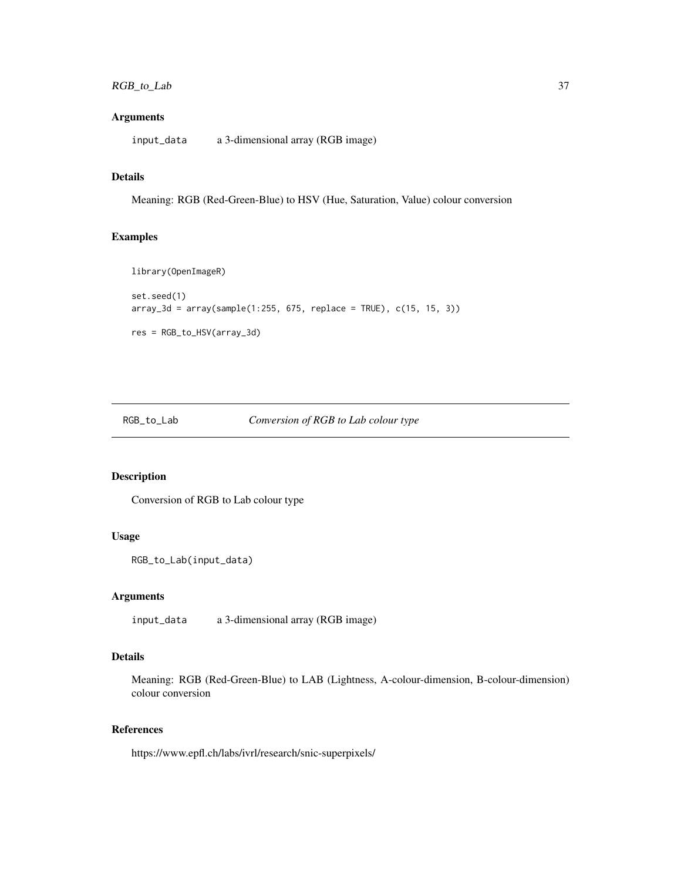## <span id="page-36-0"></span>RGB\_to\_Lab 37

## Arguments

input\_data a 3-dimensional array (RGB image)

## Details

Meaning: RGB (Red-Green-Blue) to HSV (Hue, Saturation, Value) colour conversion

#### Examples

```
library(OpenImageR)
set.seed(1)
array_3d = array(sample(1:255, 675, replace = TRUE), c(15, 15, 3))res = RGB_to_HSV(array_3d)
```
#### RGB\_to\_Lab *Conversion of RGB to Lab colour type*

## Description

Conversion of RGB to Lab colour type

#### Usage

```
RGB_to_Lab(input_data)
```
## Arguments

input\_data a 3-dimensional array (RGB image)

## Details

Meaning: RGB (Red-Green-Blue) to LAB (Lightness, A-colour-dimension, B-colour-dimension) colour conversion

## References

https://www.epfl.ch/labs/ivrl/research/snic-superpixels/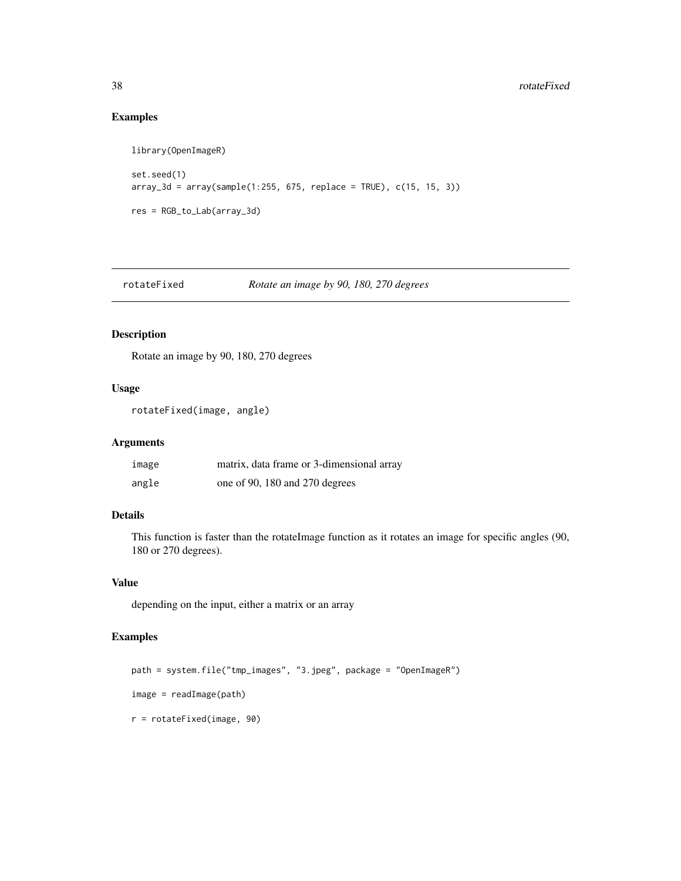## Examples

```
library(OpenImageR)
set.seed(1)
array_3d = array(sample(1:255, 675, replace = TRUE), c(15, 15, 3))res = RGB_to_Lab(array_3d)
```
rotateFixed *Rotate an image by 90, 180, 270 degrees*

## Description

Rotate an image by 90, 180, 270 degrees

## Usage

```
rotateFixed(image, angle)
```
#### Arguments

| image | matrix, data frame or 3-dimensional array |
|-------|-------------------------------------------|
| angle | one of 90, 180 and 270 degrees            |

## Details

This function is faster than the rotateImage function as it rotates an image for specific angles (90, 180 or 270 degrees).

## Value

depending on the input, either a matrix or an array

```
path = system.file("tmp_images", "3.jpeg", package = "OpenImageR")
image = readImage(path)
r = rotateFixed(image, 90)
```
<span id="page-37-0"></span>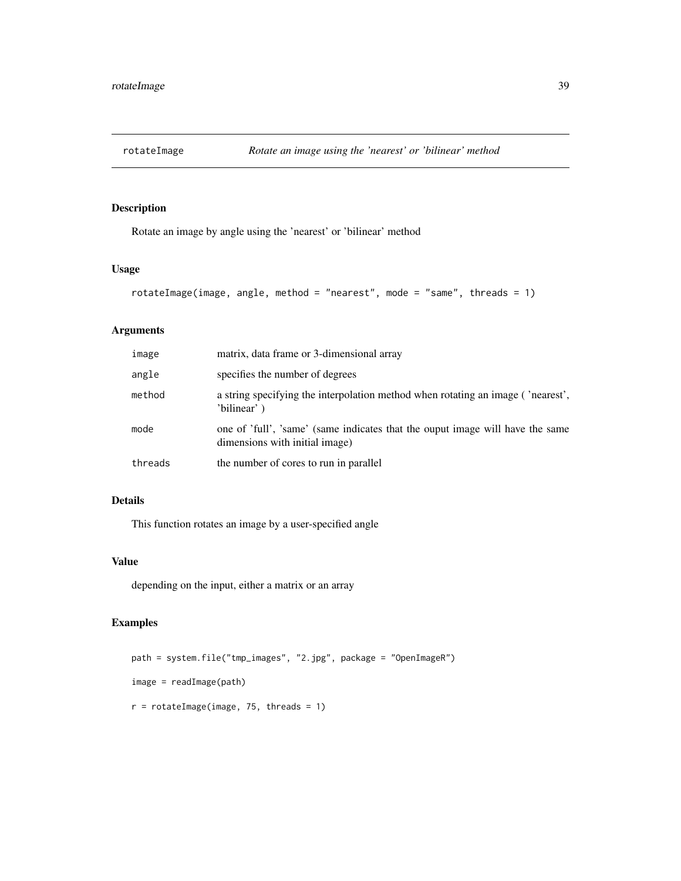<span id="page-38-0"></span>

Rotate an image by angle using the 'nearest' or 'bilinear' method

## Usage

```
rotateImage(image, angle, method = "nearest", mode = "same", threads = 1)
```
## Arguments

| image   | matrix, data frame or 3-dimensional array                                                                       |
|---------|-----------------------------------------------------------------------------------------------------------------|
| angle   | specifies the number of degrees                                                                                 |
| method  | a string specifying the interpolation method when rotating an image ('nearest',<br>'bilinear')                  |
| mode    | one of 'full', 'same' (same indicates that the ouput image will have the same<br>dimensions with initial image) |
| threads | the number of cores to run in parallel                                                                          |

## Details

This function rotates an image by a user-specified angle

#### Value

depending on the input, either a matrix or an array

```
path = system.file("tmp_images", "2.jpg", package = "OpenImageR")
image = readImage(path)
r = \text{rotateImage}(\text{image}, 75, \text{threads} = 1)
```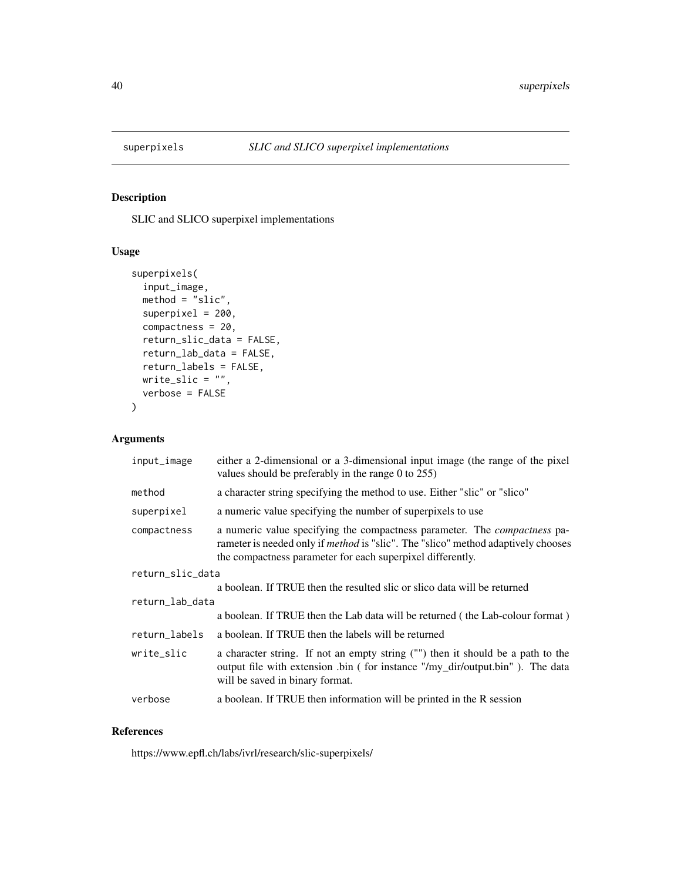<span id="page-39-0"></span>

SLIC and SLICO superpixel implementations

## Usage

```
superpixels(
  input_image,
 method = "slic",superpixel = 200,
 compactness = 20,
  return_slic_data = FALSE,
  return_lab_data = FALSE,
 return_labels = FALSE,
 write_slic = "",
  verbose = FALSE
\mathcal{L}
```
## Arguments

| input_image      | either a 2-dimensional or a 3-dimensional input image (the range of the pixel<br>values should be preferably in the range 0 to 255)                                                                                                        |  |
|------------------|--------------------------------------------------------------------------------------------------------------------------------------------------------------------------------------------------------------------------------------------|--|
| method           | a character string specifying the method to use. Either "slic" or "slico"                                                                                                                                                                  |  |
| superpixel       | a numeric value specifying the number of superpixels to use                                                                                                                                                                                |  |
| compactness      | a numeric value specifying the compactness parameter. The <i>compactness</i> pa-<br>rameter is needed only if <i>method</i> is "slic". The "slico" method adaptively chooses<br>the compactness parameter for each superpixel differently. |  |
| return_slic_data |                                                                                                                                                                                                                                            |  |
|                  | a boolean. If TRUE then the resulted slic or slico data will be returned                                                                                                                                                                   |  |
| return_lab_data  |                                                                                                                                                                                                                                            |  |
|                  | a boolean. If TRUE then the Lab data will be returned (the Lab-colour format)                                                                                                                                                              |  |
| return labels    | a boolean. If TRUE then the labels will be returned                                                                                                                                                                                        |  |
| write_slic       | a character string. If not an empty string ("") then it should be a path to the<br>output file with extension .bin (for instance "/my_dir/output.bin"). The data<br>will be saved in binary format.                                        |  |
| verbose          | a boolean. If TRUE then information will be printed in the R session                                                                                                                                                                       |  |

## References

https://www.epfl.ch/labs/ivrl/research/slic-superpixels/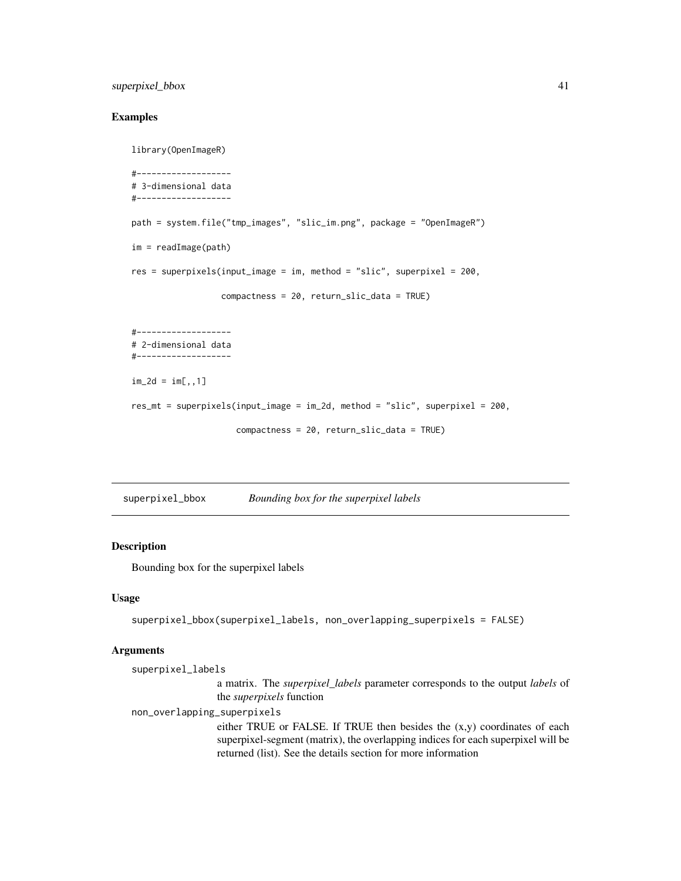## <span id="page-40-0"></span>superpixel\_bbox 41

## Examples

```
library(OpenImageR)
#-------------------
# 3-dimensional data
#-------------------
path = system.file("tmp_images", "slic_im.png", package = "OpenImageR")
im = readImage(path)
res = superpixels(input_image = im, method = "slic", superpixel = 200,
                  compactness = 20, return_slic_data = TRUE)
#-------------------
# 2-dimensional data
#-------------------
im_2d = im[, 1]res_mt = superpixels(input_image = im_2d, method = "slic", superpixel = 200,
                     compactness = 20, return_slic_data = TRUE)
```
superpixel\_bbox *Bounding box for the superpixel labels*

#### Description

Bounding box for the superpixel labels

#### Usage

```
superpixel_bbox(superpixel_labels, non_overlapping_superpixels = FALSE)
```

```
superpixel_labels
                  a matrix. The superpixel_labels parameter corresponds to the output labels of
                  the superpixels function
non_overlapping_superpixels
                  either TRUE or FALSE. If TRUE then besides the (x,y) coordinates of each
                  superpixel-segment (matrix), the overlapping indices for each superpixel will be
                  returned (list). See the details section for more information
```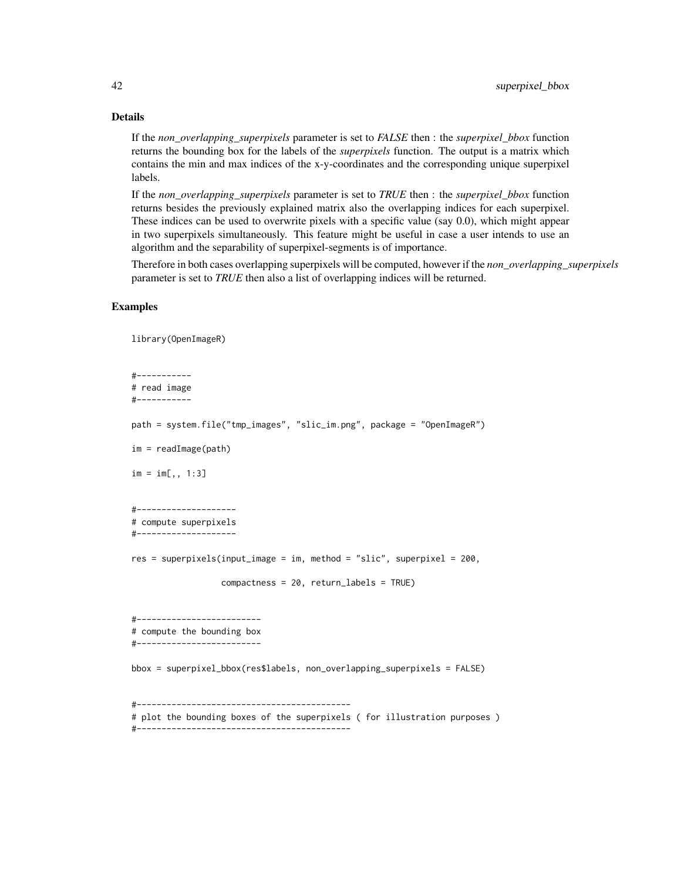### Details

If the *non\_overlapping\_superpixels* parameter is set to *FALSE* then : the *superpixel\_bbox* function returns the bounding box for the labels of the *superpixels* function. The output is a matrix which contains the min and max indices of the x-y-coordinates and the corresponding unique superpixel labels.

If the *non\_overlapping\_superpixels* parameter is set to *TRUE* then : the *superpixel\_bbox* function returns besides the previously explained matrix also the overlapping indices for each superpixel. These indices can be used to overwrite pixels with a specific value (say 0.0), which might appear in two superpixels simultaneously. This feature might be useful in case a user intends to use an algorithm and the separability of superpixel-segments is of importance.

Therefore in both cases overlapping superpixels will be computed, however if the *non\_overlapping\_superpixels* parameter is set to *TRUE* then also a list of overlapping indices will be returned.

#### Examples

library(OpenImageR)

```
#-----------
# read image
#-----------
path = system.file("tmp_images", "slic_im.png", package = "OpenImageR")
im = readImage(path)
im = im[,, 1:3]#--------------------
# compute superpixels
#--------------------
res = superpixels(input_image = im, method = "slic", superpixel = 200,
                  compactness = 20, return_labels = TRUE)
#-------------------------
# compute the bounding box
#-------------------------
bbox = superpixel_bbox(res$labels, non_overlapping_superpixels = FALSE)
#-------------------------------------------
# plot the bounding boxes of the superpixels ( for illustration purposes )
#-------------------------------------------
```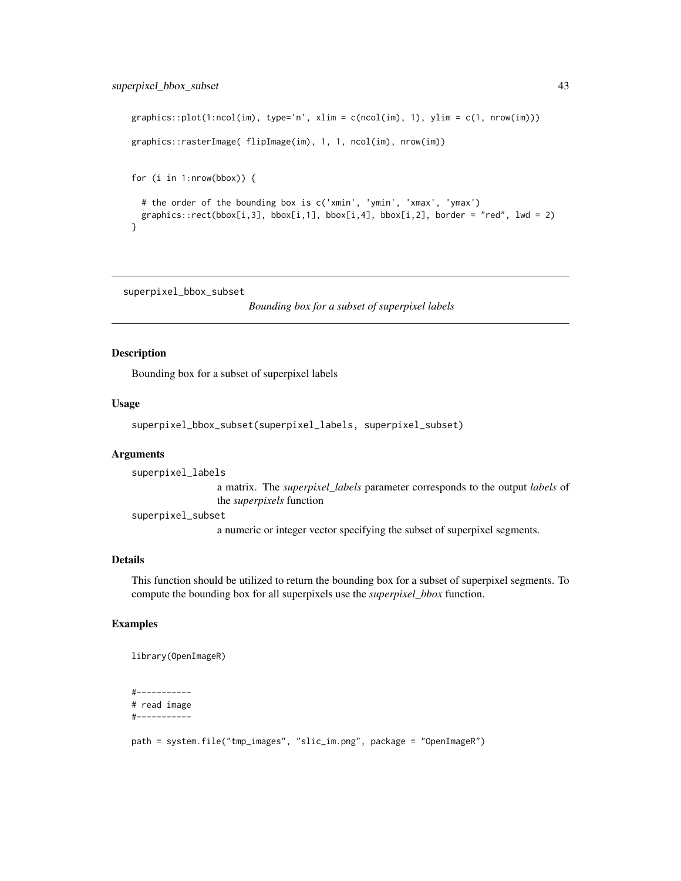## <span id="page-42-0"></span>superpixel\_bbox\_subset 43

```
graphics::plot(1:ncol(im), type='n', xlim = c(ncol(im), 1), ylim = c(1, nrow(im))graphics::rasterImage( flipImage(im), 1, 1, ncol(im), nrow(im))
for (i in 1:nrow(bbox)) {
 # the order of the bounding box is c('xmin', 'ymin', 'xmax', 'ymax')
 graphics::rect(bbox[i,3], bbox[i,1], bbox[i,4], bbox[i,2], border = "red", lwd = 2)}
```
superpixel\_bbox\_subset

*Bounding box for a subset of superpixel labels*

#### Description

Bounding box for a subset of superpixel labels

## Usage

```
superpixel_bbox_subset(superpixel_labels, superpixel_subset)
```
#### Arguments

superpixel\_labels a matrix. The *superpixel\_labels* parameter corresponds to the output *labels* of the *superpixels* function

superpixel\_subset

a numeric or integer vector specifying the subset of superpixel segments.

## Details

This function should be utilized to return the bounding box for a subset of superpixel segments. To compute the bounding box for all superpixels use the *superpixel\_bbox* function.

## Examples

library(OpenImageR)

#----------- # read image #-----------

path = system.file("tmp\_images", "slic\_im.png", package = "OpenImageR")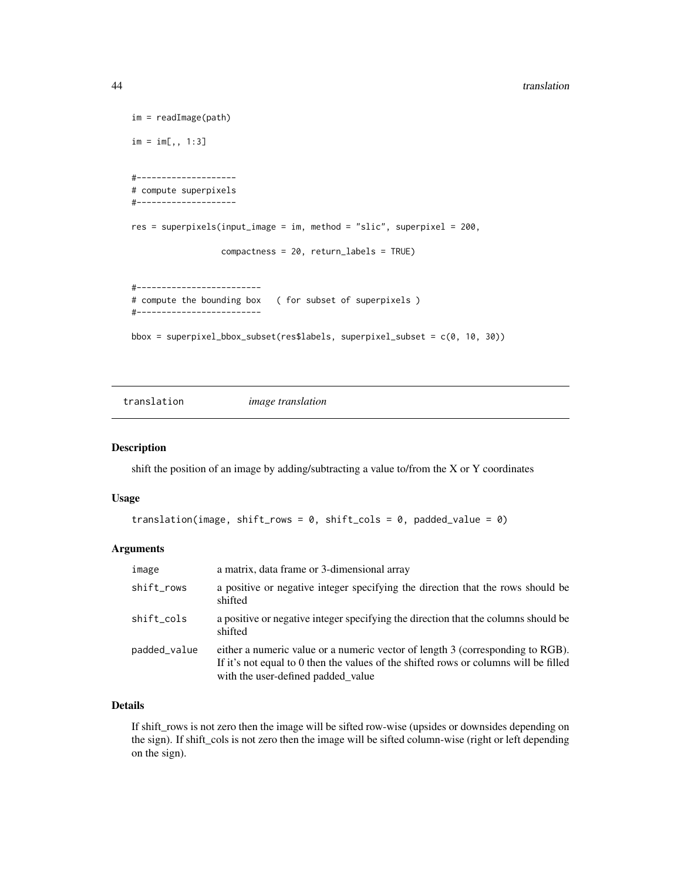```
im = readImage(path)
im = im[,, 1:3]#--------------------
# compute superpixels
#--------------------
res = superpixels(input_image = im, method = "slic", superpixel = 200,
                  compactness = 20, return_labels = TRUE)
#-------------------------
# compute the bounding box ( for subset of superpixels )
#-------------------------
bbox = superpixel_bbox_subset(res$labels, superpixel_subset = c(0, 10, 30))
```
translation *image translation*

## Description

shift the position of an image by adding/subtracting a value to/from the X or Y coordinates

#### Usage

```
translation(image, shift_rows = 0, shift_cols = 0, padded_value = 0)
```
#### Arguments

| image        | a matrix, data frame or 3-dimensional array                                                                                                                                                                  |
|--------------|--------------------------------------------------------------------------------------------------------------------------------------------------------------------------------------------------------------|
| shift_rows   | a positive or negative integer specifying the direction that the rows should be<br>shifted                                                                                                                   |
| shift_cols   | a positive or negative integer specifying the direction that the columns should be<br>shifted                                                                                                                |
| padded_value | either a numeric value or a numeric vector of length 3 (corresponding to RGB).<br>If it's not equal to 0 then the values of the shifted rows or columns will be filled<br>with the user-defined padded_value |

## Details

If shift\_rows is not zero then the image will be sifted row-wise (upsides or downsides depending on the sign). If shift\_cols is not zero then the image will be sifted column-wise (right or left depending on the sign).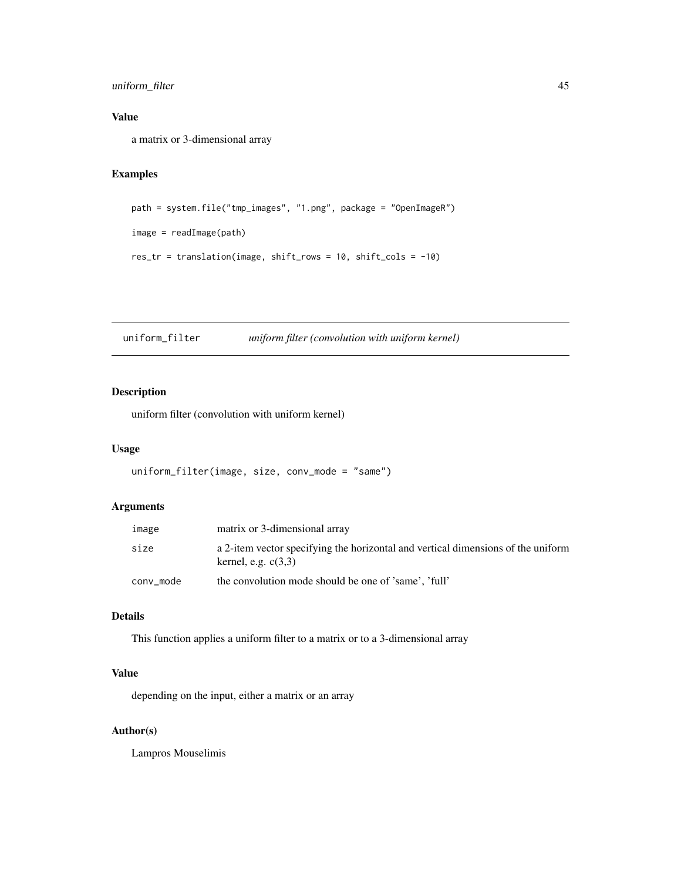## <span id="page-44-0"></span>uniform\_filter 45

## Value

a matrix or 3-dimensional array

## Examples

```
path = system.file("tmp_images", "1.png", package = "OpenImageR")
```

```
image = readImage(path)
```

```
res_tr = translation(image, shift_rows = 10, shift_cols = -10)
```
uniform\_filter *uniform filter (convolution with uniform kernel)*

## Description

uniform filter (convolution with uniform kernel)

#### Usage

```
uniform_filter(image, size, conv_mode = "same")
```
## Arguments

| image     | matrix or 3-dimensional array                                                                             |
|-----------|-----------------------------------------------------------------------------------------------------------|
| size      | a 2-item vector specifying the horizontal and vertical dimensions of the uniform<br>kernel, e.g. $c(3,3)$ |
| conv mode | the convolution mode should be one of 'same', 'full'                                                      |

## Details

This function applies a uniform filter to a matrix or to a 3-dimensional array

## Value

depending on the input, either a matrix or an array

#### Author(s)

Lampros Mouselimis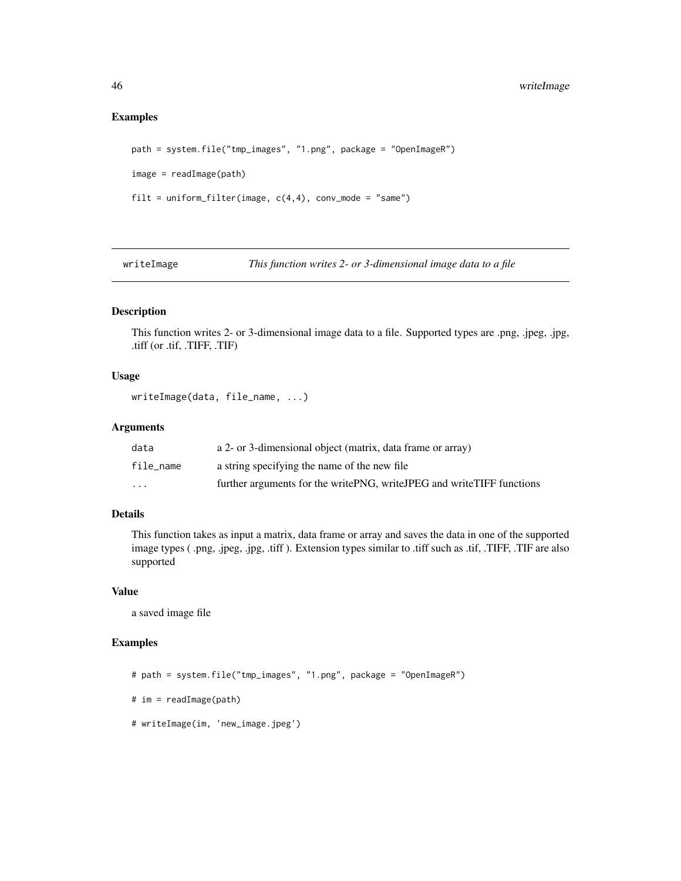#### Examples

```
path = system.file("tmp_images", "1.png", package = "OpenImageR")
image = readImage(path)
filt = uniform_filter(image, c(4,4), conv_mode = "same")
```
writeImage *This function writes 2- or 3-dimensional image data to a file*

## Description

This function writes 2- or 3-dimensional image data to a file. Supported types are .png, .jpeg, .jpg, .tiff (or .tif, .TIFF, .TIF)

#### Usage

```
writeImage(data, file_name, ...)
```
#### Arguments

| data      | a 2- or 3-dimensional object (matrix, data frame or array)            |
|-----------|-----------------------------------------------------------------------|
| file name | a string specifying the name of the new file                          |
| $\cdots$  | further arguments for the writePNG, writeJPEG and writeTIFF functions |

## Details

This function takes as input a matrix, data frame or array and saves the data in one of the supported image types ( .png, .jpeg, .jpg, .tiff ). Extension types similar to .tiff such as .tif, .TIFF, .TIF are also supported

#### Value

a saved image file

```
# path = system.file("tmp_images", "1.png", package = "OpenImageR")
# im = readImage(path)
# writeImage(im, 'new_image.jpeg')
```
<span id="page-45-0"></span>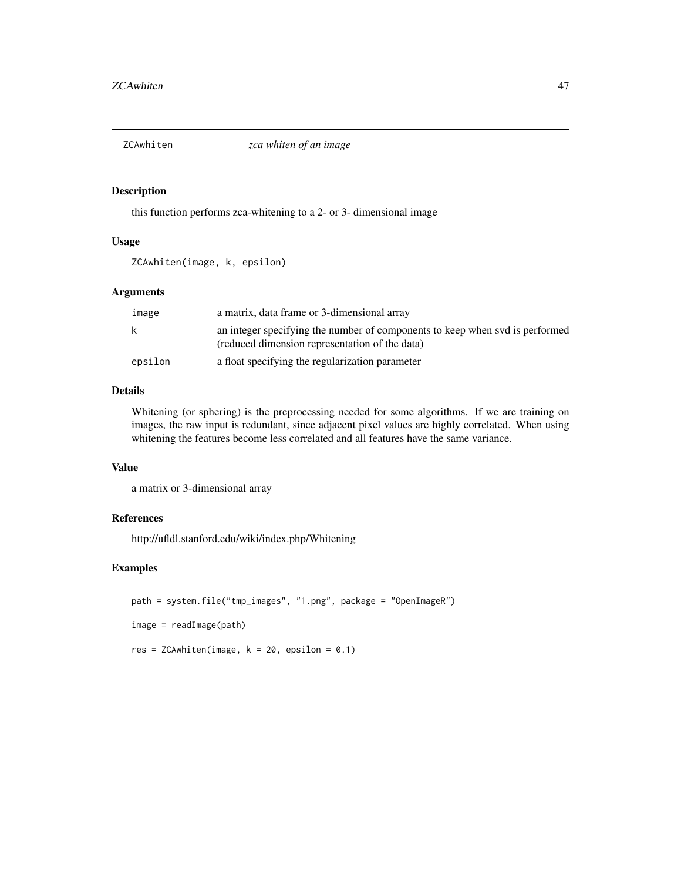<span id="page-46-0"></span>

this function performs zca-whitening to a 2- or 3- dimensional image

#### Usage

ZCAwhiten(image, k, epsilon)

## Arguments

| image   | a matrix, data frame or 3-dimensional array                                                                                    |
|---------|--------------------------------------------------------------------------------------------------------------------------------|
| k       | an integer specifying the number of components to keep when svd is performed<br>(reduced dimension representation of the data) |
| epsilon | a float specifying the regularization parameter                                                                                |

## Details

Whitening (or sphering) is the preprocessing needed for some algorithms. If we are training on images, the raw input is redundant, since adjacent pixel values are highly correlated. When using whitening the features become less correlated and all features have the same variance.

## Value

a matrix or 3-dimensional array

## References

http://ufldl.stanford.edu/wiki/index.php/Whitening

```
path = system.file("tmp_images", "1.png", package = "OpenImageR")
image = readImage(path)
res = ZCAwhiten(image, k = 20, epsilon = 0.1)
```